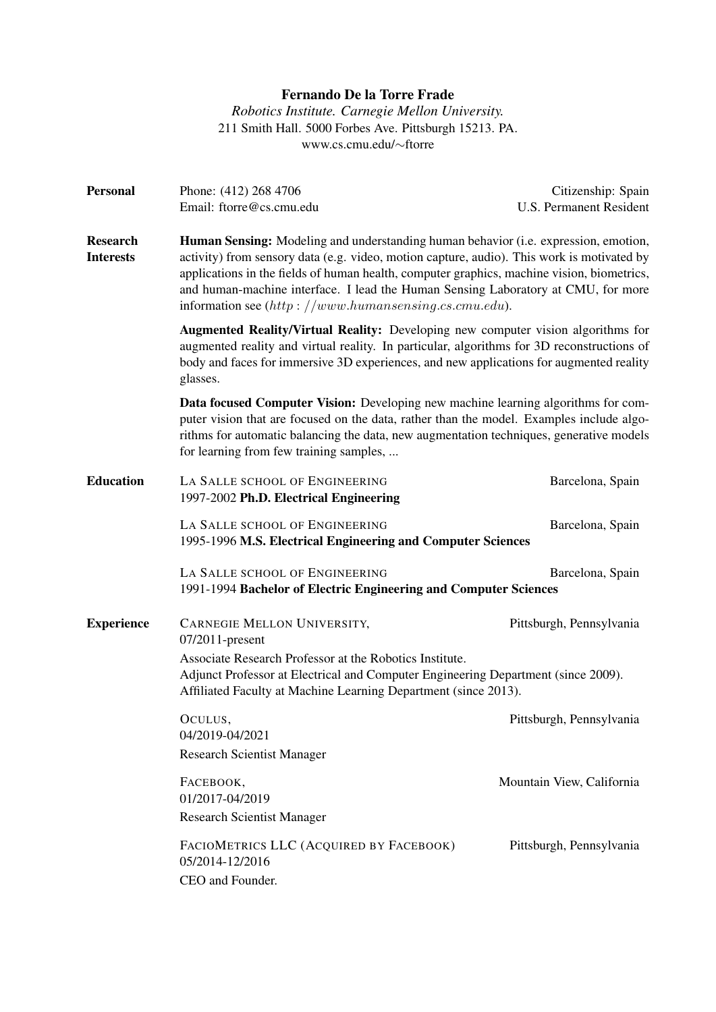# Fernando De la Torre Frade

*Robotics Institute. Carnegie Mellon University.* 211 Smith Hall. 5000 Forbes Ave. Pittsburgh 15213. PA. www.cs.cmu.edu/∼ftorre

| <b>Personal</b>                     | Phone: (412) 268 4706<br>Email: ftorre@cs.cmu.edu                                                                                                                                                                                                                                                                                                                                                                                | Citizenship: Spain<br>U.S. Permanent Resident |
|-------------------------------------|----------------------------------------------------------------------------------------------------------------------------------------------------------------------------------------------------------------------------------------------------------------------------------------------------------------------------------------------------------------------------------------------------------------------------------|-----------------------------------------------|
| <b>Research</b><br><b>Interests</b> | Human Sensing: Modeling and understanding human behavior (i.e. expression, emotion,<br>activity) from sensory data (e.g. video, motion capture, audio). This work is motivated by<br>applications in the fields of human health, computer graphics, machine vision, biometrics,<br>and human-machine interface. I lead the Human Sensing Laboratory at CMU, for more<br>information see $(http://www.human sensing.cs.cmu.edu).$ |                                               |
|                                     | Augmented Reality/Virtual Reality: Developing new computer vision algorithms for<br>augmented reality and virtual reality. In particular, algorithms for 3D reconstructions of<br>body and faces for immersive 3D experiences, and new applications for augmented reality<br>glasses.                                                                                                                                            |                                               |
|                                     | Data focused Computer Vision: Developing new machine learning algorithms for com-<br>puter vision that are focused on the data, rather than the model. Examples include algo-<br>rithms for automatic balancing the data, new augmentation techniques, generative models<br>for learning from few training samples,                                                                                                              |                                               |
| <b>Education</b>                    | LA SALLE SCHOOL OF ENGINEERING<br>1997-2002 Ph.D. Electrical Engineering                                                                                                                                                                                                                                                                                                                                                         | Barcelona, Spain                              |
|                                     | LA SALLE SCHOOL OF ENGINEERING<br>1995-1996 M.S. Electrical Engineering and Computer Sciences                                                                                                                                                                                                                                                                                                                                    | Barcelona, Spain                              |
|                                     | LA SALLE SCHOOL OF ENGINEERING<br>1991-1994 Bachelor of Electric Engineering and Computer Sciences                                                                                                                                                                                                                                                                                                                               | Barcelona, Spain                              |
| <b>Experience</b>                   | CARNEGIE MELLON UNIVERSITY,<br>07/2011-present                                                                                                                                                                                                                                                                                                                                                                                   | Pittsburgh, Pennsylvania                      |
|                                     | Associate Research Professor at the Robotics Institute.<br>Adjunct Professor at Electrical and Computer Engineering Department (since 2009).<br>Affiliated Faculty at Machine Learning Department (since 2013).                                                                                                                                                                                                                  |                                               |
|                                     | OCULUS,<br>04/2019-04/2021<br><b>Research Scientist Manager</b>                                                                                                                                                                                                                                                                                                                                                                  | Pittsburgh, Pennsylvania                      |
|                                     | FACEBOOK,<br>01/2017-04/2019<br><b>Research Scientist Manager</b>                                                                                                                                                                                                                                                                                                                                                                | Mountain View, California                     |
|                                     | FACIOMETRICS LLC (ACQUIRED BY FACEBOOK)<br>05/2014-12/2016<br>CEO and Founder.                                                                                                                                                                                                                                                                                                                                                   | Pittsburgh, Pennsylvania                      |
|                                     |                                                                                                                                                                                                                                                                                                                                                                                                                                  |                                               |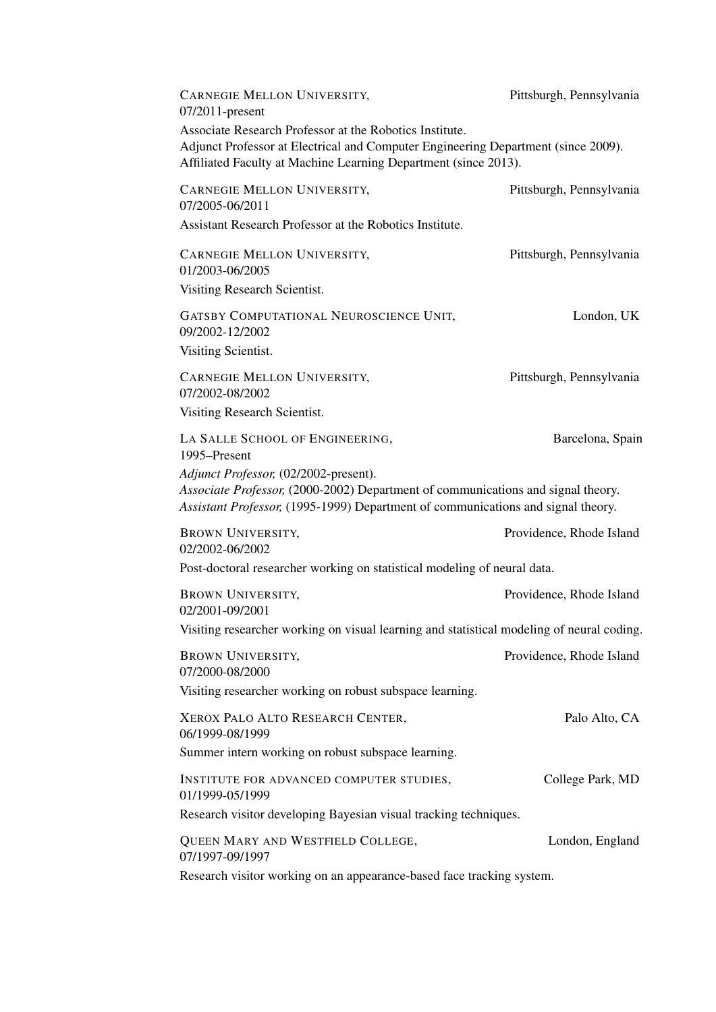| CARNEGIE MELLON UNIVERSITY,<br>07/2011-present                                                                                                                                                                  | Pittsburgh, Pennsylvania |  |
|-----------------------------------------------------------------------------------------------------------------------------------------------------------------------------------------------------------------|--------------------------|--|
| Associate Research Professor at the Robotics Institute.<br>Adjunct Professor at Electrical and Computer Engineering Department (since 2009).<br>Affiliated Faculty at Machine Learning Department (since 2013). |                          |  |
| CARNEGIE MELLON UNIVERSITY,<br>07/2005-06/2011                                                                                                                                                                  | Pittsburgh, Pennsylvania |  |
| Assistant Research Professor at the Robotics Institute.                                                                                                                                                         |                          |  |
| CARNEGIE MELLON UNIVERSITY,<br>01/2003-06/2005                                                                                                                                                                  | Pittsburgh, Pennsylvania |  |
| Visiting Research Scientist.                                                                                                                                                                                    |                          |  |
| GATSBY COMPUTATIONAL NEUROSCIENCE UNIT,<br>09/2002-12/2002                                                                                                                                                      | London, UK               |  |
| Visiting Scientist.                                                                                                                                                                                             |                          |  |
| CARNEGIE MELLON UNIVERSITY,<br>07/2002-08/2002                                                                                                                                                                  | Pittsburgh, Pennsylvania |  |
| Visiting Research Scientist.                                                                                                                                                                                    |                          |  |
| LA SALLE SCHOOL OF ENGINEERING,<br>1995-Present                                                                                                                                                                 | Barcelona, Spain         |  |
| Adjunct Professor, (02/2002-present).<br>Associate Professor, (2000-2002) Department of communications and signal theory.<br>Assistant Professor, (1995-1999) Department of communications and signal theory.   |                          |  |
| <b>BROWN UNIVERSITY,</b><br>02/2002-06/2002                                                                                                                                                                     | Providence, Rhode Island |  |
| Post-doctoral researcher working on statistical modeling of neural data.                                                                                                                                        |                          |  |
| <b>BROWN UNIVERSITY,</b><br>02/2001-09/2001                                                                                                                                                                     | Providence, Rhode Island |  |
| Visiting researcher working on visual learning and statistical modeling of neural coding.                                                                                                                       |                          |  |
| <b>BROWN UNIVERSITY,</b><br>07/2000-08/2000                                                                                                                                                                     | Providence, Rhode Island |  |
| Visiting researcher working on robust subspace learning.                                                                                                                                                        |                          |  |
| XEROX PALO ALTO RESEARCH CENTER,<br>06/1999-08/1999                                                                                                                                                             | Palo Alto, CA            |  |
| Summer intern working on robust subspace learning.                                                                                                                                                              |                          |  |
| INSTITUTE FOR ADVANCED COMPUTER STUDIES,<br>01/1999-05/1999                                                                                                                                                     | College Park, MD         |  |
| Research visitor developing Bayesian visual tracking techniques.                                                                                                                                                |                          |  |
| QUEEN MARY AND WESTFIELD COLLEGE,<br>07/1997-09/1997                                                                                                                                                            | London, England          |  |
| Research visitor working on an appearance-based face tracking system.                                                                                                                                           |                          |  |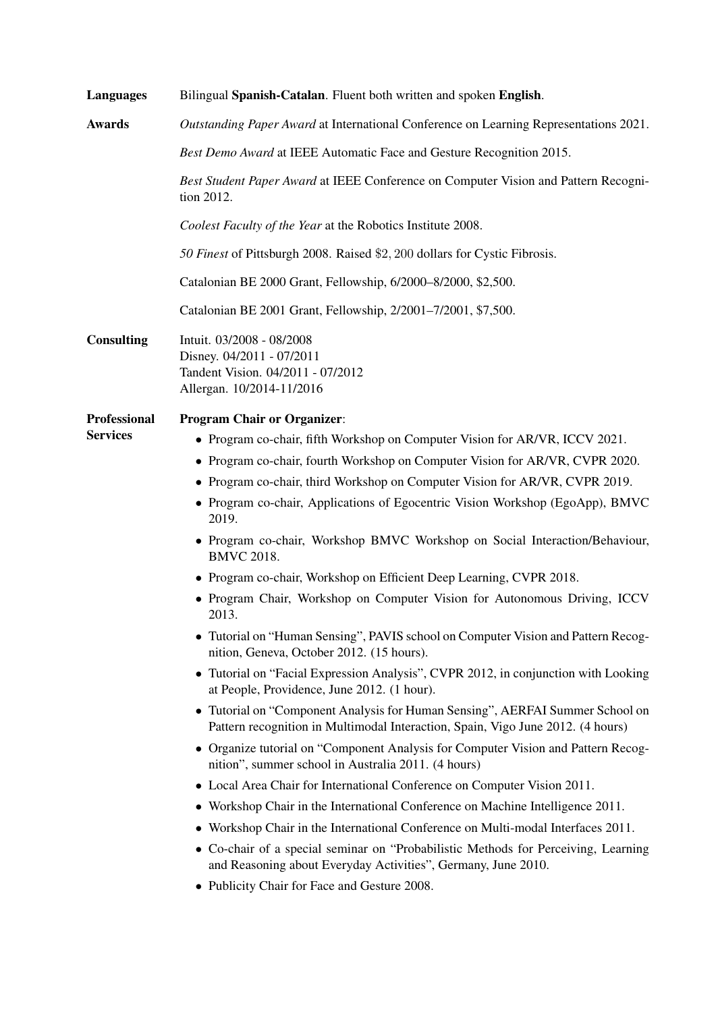| <b>Languages</b>    | Bilingual Spanish-Catalan. Fluent both written and spoken English.                                                                                                        |  |
|---------------------|---------------------------------------------------------------------------------------------------------------------------------------------------------------------------|--|
| <b>Awards</b>       | Outstanding Paper Award at International Conference on Learning Representations 2021.                                                                                     |  |
|                     | Best Demo Award at IEEE Automatic Face and Gesture Recognition 2015.<br>Best Student Paper Award at IEEE Conference on Computer Vision and Pattern Recogni-<br>tion 2012. |  |
|                     |                                                                                                                                                                           |  |
|                     | Coolest Faculty of the Year at the Robotics Institute 2008.                                                                                                               |  |
|                     | 50 Finest of Pittsburgh 2008. Raised \$2, 200 dollars for Cystic Fibrosis.                                                                                                |  |
|                     | Catalonian BE 2000 Grant, Fellowship, 6/2000-8/2000, \$2,500.                                                                                                             |  |
|                     | Catalonian BE 2001 Grant, Fellowship, 2/2001-7/2001, \$7,500.                                                                                                             |  |
| <b>Consulting</b>   | Intuit. 03/2008 - 08/2008<br>Disney. 04/2011 - 07/2011<br>Tandent Vision. 04/2011 - 07/2012<br>Allergan. 10/2014-11/2016                                                  |  |
| <b>Professional</b> | <b>Program Chair or Organizer:</b>                                                                                                                                        |  |
| <b>Services</b>     | • Program co-chair, fifth Workshop on Computer Vision for AR/VR, ICCV 2021.                                                                                               |  |
|                     | • Program co-chair, fourth Workshop on Computer Vision for AR/VR, CVPR 2020.                                                                                              |  |
|                     | • Program co-chair, third Workshop on Computer Vision for AR/VR, CVPR 2019.                                                                                               |  |
|                     | • Program co-chair, Applications of Egocentric Vision Workshop (EgoApp), BMVC<br>2019.                                                                                    |  |
|                     | • Program co-chair, Workshop BMVC Workshop on Social Interaction/Behaviour,<br><b>BMVC 2018.</b>                                                                          |  |
|                     | • Program co-chair, Workshop on Efficient Deep Learning, CVPR 2018.                                                                                                       |  |
|                     | • Program Chair, Workshop on Computer Vision for Autonomous Driving, ICCV<br>2013.                                                                                        |  |
|                     | • Tutorial on "Human Sensing", PAVIS school on Computer Vision and Pattern Recog-<br>nition, Geneva, October 2012. (15 hours).                                            |  |
|                     | • Tutorial on "Facial Expression Analysis", CVPR 2012, in conjunction with Looking<br>at People, Providence, June 2012. (1 hour).                                         |  |
|                     | • Tutorial on "Component Analysis for Human Sensing", AERFAI Summer School on<br>Pattern recognition in Multimodal Interaction, Spain, Vigo June 2012. (4 hours)          |  |
|                     | • Organize tutorial on "Component Analysis for Computer Vision and Pattern Recog-<br>nition", summer school in Australia 2011. (4 hours)                                  |  |
|                     | • Local Area Chair for International Conference on Computer Vision 2011.                                                                                                  |  |
|                     | • Workshop Chair in the International Conference on Machine Intelligence 2011.                                                                                            |  |
|                     | • Workshop Chair in the International Conference on Multi-modal Interfaces 2011.                                                                                          |  |
|                     | • Co-chair of a special seminar on "Probabilistic Methods for Perceiving, Learning<br>and Reasoning about Everyday Activities", Germany, June 2010.                       |  |
|                     | • Publicity Chair for Face and Gesture 2008.                                                                                                                              |  |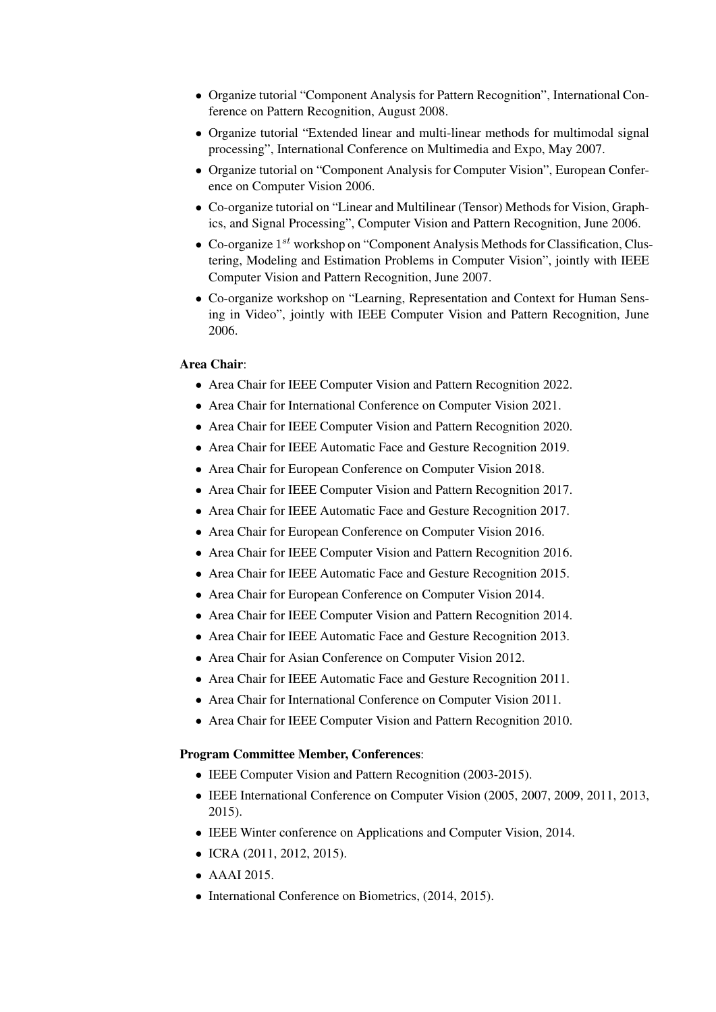- Organize tutorial "Component Analysis for Pattern Recognition", International Conference on Pattern Recognition, August 2008.
- Organize tutorial "Extended linear and multi-linear methods for multimodal signal processing", International Conference on Multimedia and Expo, May 2007.
- Organize tutorial on "Component Analysis for Computer Vision", European Conference on Computer Vision 2006.
- Co-organize tutorial on "Linear and Multilinear (Tensor) Methods for Vision, Graphics, and Signal Processing", Computer Vision and Pattern Recognition, June 2006.
- $\bullet$  Co-organize  $1^{st}$  workshop on "Component Analysis Methods for Classification, Clustering, Modeling and Estimation Problems in Computer Vision", jointly with IEEE Computer Vision and Pattern Recognition, June 2007.
- Co-organize workshop on "Learning, Representation and Context for Human Sensing in Video", jointly with IEEE Computer Vision and Pattern Recognition, June 2006.

### Area Chair:

- Area Chair for IEEE Computer Vision and Pattern Recognition 2022.
- Area Chair for International Conference on Computer Vision 2021.
- Area Chair for IEEE Computer Vision and Pattern Recognition 2020.
- Area Chair for IEEE Automatic Face and Gesture Recognition 2019.
- Area Chair for European Conference on Computer Vision 2018.
- Area Chair for IEEE Computer Vision and Pattern Recognition 2017.
- Area Chair for IEEE Automatic Face and Gesture Recognition 2017.
- Area Chair for European Conference on Computer Vision 2016.
- Area Chair for IEEE Computer Vision and Pattern Recognition 2016.
- Area Chair for IEEE Automatic Face and Gesture Recognition 2015.
- Area Chair for European Conference on Computer Vision 2014.
- Area Chair for IEEE Computer Vision and Pattern Recognition 2014.
- Area Chair for IEEE Automatic Face and Gesture Recognition 2013.
- Area Chair for Asian Conference on Computer Vision 2012.
- Area Chair for IEEE Automatic Face and Gesture Recognition 2011.
- Area Chair for International Conference on Computer Vision 2011.
- Area Chair for IEEE Computer Vision and Pattern Recognition 2010.

#### Program Committee Member, Conferences:

- IEEE Computer Vision and Pattern Recognition (2003-2015).
- IEEE International Conference on Computer Vision (2005, 2007, 2009, 2011, 2013, 2015).
- IEEE Winter conference on Applications and Computer Vision, 2014.
- ICRA (2011, 2012, 2015).
- AAAI 2015.
- International Conference on Biometrics, (2014, 2015).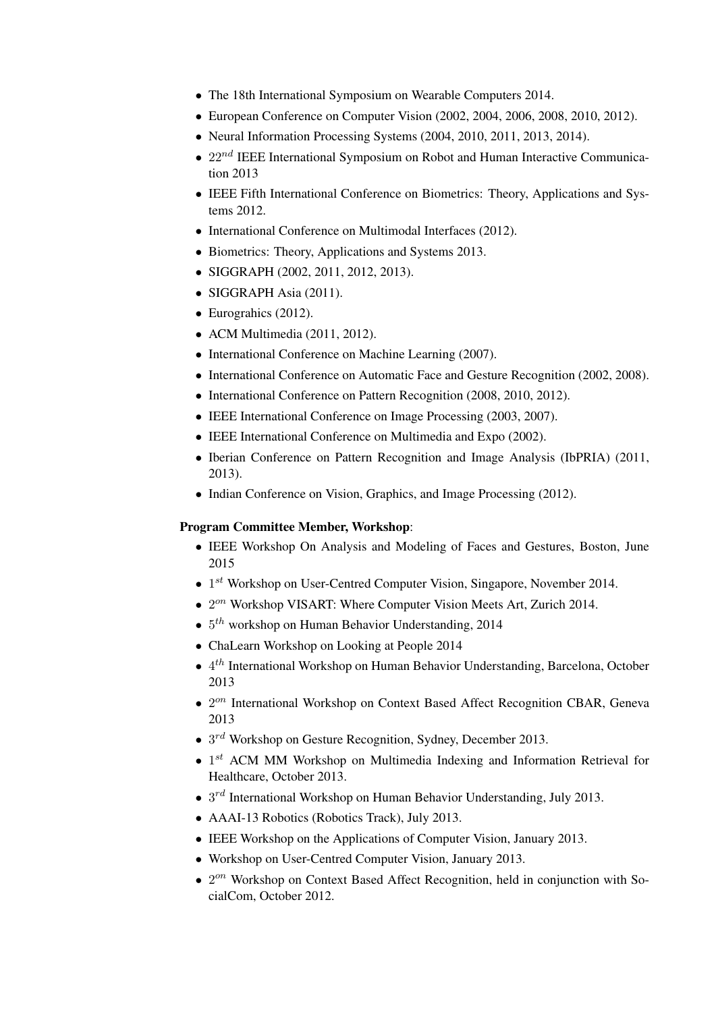- The 18th International Symposium on Wearable Computers 2014.
- European Conference on Computer Vision (2002, 2004, 2006, 2008, 2010, 2012).
- Neural Information Processing Systems (2004, 2010, 2011, 2013, 2014).
- $22^{nd}$  IEEE International Symposium on Robot and Human Interactive Communication 2013
- IEEE Fifth International Conference on Biometrics: Theory, Applications and Systems 2012.
- International Conference on Multimodal Interfaces (2012).
- Biometrics: Theory, Applications and Systems 2013.
- SIGGRAPH (2002, 2011, 2012, 2013).
- SIGGRAPH Asia (2011).
- Eurograhics (2012).
- ACM Multimedia  $(2011, 2012)$ .
- International Conference on Machine Learning (2007).
- International Conference on Automatic Face and Gesture Recognition (2002, 2008).
- International Conference on Pattern Recognition (2008, 2010, 2012).
- IEEE International Conference on Image Processing (2003, 2007).
- IEEE International Conference on Multimedia and Expo (2002).
- Iberian Conference on Pattern Recognition and Image Analysis (IbPRIA) (2011, 2013).
- Indian Conference on Vision, Graphics, and Image Processing (2012).

# Program Committee Member, Workshop:

- IEEE Workshop On Analysis and Modeling of Faces and Gestures, Boston, June 2015
- $\bullet$  1<sup>st</sup> Workshop on User-Centred Computer Vision, Singapore, November 2014.
- $\bullet$  2<sup>on</sup> Workshop VISART: Where Computer Vision Meets Art, Zurich 2014.
- $\bullet$  5<sup>th</sup> workshop on Human Behavior Understanding, 2014
- ChaLearn Workshop on Looking at People 2014
- $\bullet$  4<sup>th</sup> International Workshop on Human Behavior Understanding, Barcelona, October 2013
- 2<sup>on</sup> International Workshop on Context Based Affect Recognition CBAR, Geneva 2013
- $\bullet$  3<sup>rd</sup> Workshop on Gesture Recognition, Sydney, December 2013.
- $\bullet$  1<sup>st</sup> ACM MM Workshop on Multimedia Indexing and Information Retrieval for Healthcare, October 2013.
- $3^{rd}$  International Workshop on Human Behavior Understanding, July 2013.
- AAAI-13 Robotics (Robotics Track), July 2013.
- IEEE Workshop on the Applications of Computer Vision, January 2013.
- Workshop on User-Centred Computer Vision, January 2013.
- $\bullet$  2<sup>on</sup> Workshop on Context Based Affect Recognition, held in conjunction with SocialCom, October 2012.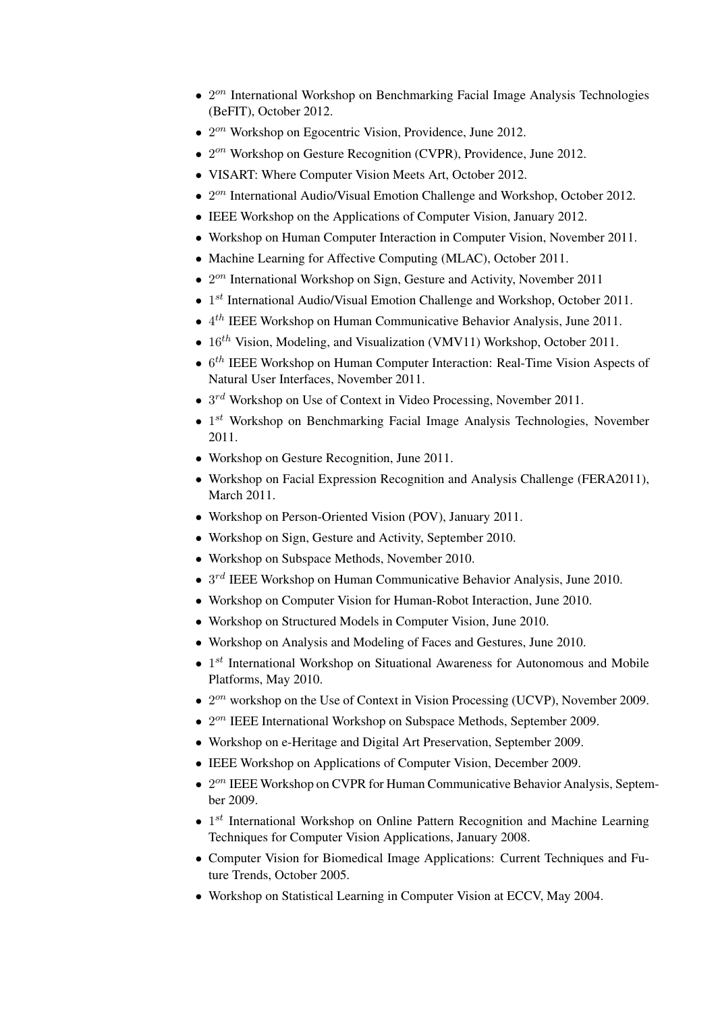- 2<sup>on</sup> International Workshop on Benchmarking Facial Image Analysis Technologies (BeFIT), October 2012.
- $\bullet$  2<sup>on</sup> Workshop on Egocentric Vision, Providence, June 2012.
- 2<sup>on</sup> Workshop on Gesture Recognition (CVPR), Providence, June 2012.
- VISART: Where Computer Vision Meets Art, October 2012.
- $\bullet$  2<sup>on</sup> International Audio/Visual Emotion Challenge and Workshop, October 2012.
- IEEE Workshop on the Applications of Computer Vision, January 2012.
- Workshop on Human Computer Interaction in Computer Vision, November 2011.
- Machine Learning for Affective Computing (MLAC), October 2011.
- $\bullet$  2<sup>on</sup> International Workshop on Sign, Gesture and Activity, November 2011
- $\bullet$  1<sup>st</sup> International Audio/Visual Emotion Challenge and Workshop, October 2011.
- $\bullet$  4<sup>th</sup> IEEE Workshop on Human Communicative Behavior Analysis, June 2011.
- $16^{th}$  Vision, Modeling, and Visualization (VMV11) Workshop, October 2011.
- $\bullet$  6<sup>th</sup> IEEE Workshop on Human Computer Interaction: Real-Time Vision Aspects of Natural User Interfaces, November 2011.
- $\bullet$  3<sup>rd</sup> Workshop on Use of Context in Video Processing, November 2011.
- $\bullet$  1<sup>st</sup> Workshop on Benchmarking Facial Image Analysis Technologies, November 2011.
- Workshop on Gesture Recognition, June 2011.
- Workshop on Facial Expression Recognition and Analysis Challenge (FERA2011), March 2011.
- Workshop on Person-Oriented Vision (POV), January 2011.
- Workshop on Sign, Gesture and Activity, September 2010.
- Workshop on Subspace Methods, November 2010.
- $\bullet$  3<sup>rd</sup> IEEE Workshop on Human Communicative Behavior Analysis, June 2010.
- Workshop on Computer Vision for Human-Robot Interaction, June 2010.
- Workshop on Structured Models in Computer Vision, June 2010.
- Workshop on Analysis and Modeling of Faces and Gestures, June 2010.
- $\bullet$  1<sup>st</sup> International Workshop on Situational Awareness for Autonomous and Mobile Platforms, May 2010.
- $\bullet$  2<sup>on</sup> workshop on the Use of Context in Vision Processing (UCVP), November 2009.
- 2<sup>on</sup> IEEE International Workshop on Subspace Methods, September 2009.
- Workshop on e-Heritage and Digital Art Preservation, September 2009.
- IEEE Workshop on Applications of Computer Vision, December 2009.
- $\bullet$  2<sup>on</sup> IEEE Workshop on CVPR for Human Communicative Behavior Analysis, September 2009.
- $\bullet$  1<sup>st</sup> International Workshop on Online Pattern Recognition and Machine Learning Techniques for Computer Vision Applications, January 2008.
- Computer Vision for Biomedical Image Applications: Current Techniques and Future Trends, October 2005.
- Workshop on Statistical Learning in Computer Vision at ECCV, May 2004.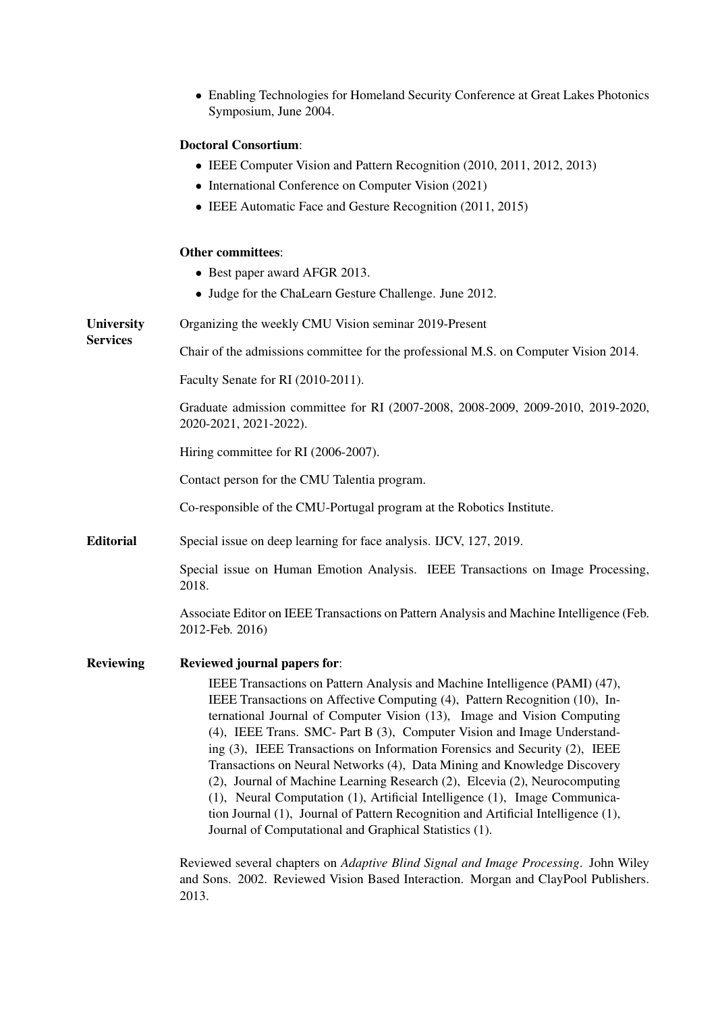• Enabling Technologies for Homeland Security Conference at Great Lakes Photonics Symposium, June 2004.

# Doctoral Consortium:

- IEEE Computer Vision and Pattern Recognition (2010, 2011, 2012, 2013)
- International Conference on Computer Vision (2021)
- IEEE Automatic Face and Gesture Recognition (2011, 2015)

#### Other committees:

| • Best paper award AFGR 2013.                                                                                                                                                                                                                                                                                                                                                                                                                                                                                                                                                                                                                                                                                                                                                         |  |
|---------------------------------------------------------------------------------------------------------------------------------------------------------------------------------------------------------------------------------------------------------------------------------------------------------------------------------------------------------------------------------------------------------------------------------------------------------------------------------------------------------------------------------------------------------------------------------------------------------------------------------------------------------------------------------------------------------------------------------------------------------------------------------------|--|
| • Judge for the ChaLearn Gesture Challenge. June 2012.                                                                                                                                                                                                                                                                                                                                                                                                                                                                                                                                                                                                                                                                                                                                |  |
| Organizing the weekly CMU Vision seminar 2019-Present                                                                                                                                                                                                                                                                                                                                                                                                                                                                                                                                                                                                                                                                                                                                 |  |
| Chair of the admissions committee for the professional M.S. on Computer Vision 2014.                                                                                                                                                                                                                                                                                                                                                                                                                                                                                                                                                                                                                                                                                                  |  |
| Faculty Senate for RI (2010-2011).                                                                                                                                                                                                                                                                                                                                                                                                                                                                                                                                                                                                                                                                                                                                                    |  |
| Graduate admission committee for RI (2007-2008, 2008-2009, 2009-2010, 2019-2020,<br>2020-2021, 2021-2022).                                                                                                                                                                                                                                                                                                                                                                                                                                                                                                                                                                                                                                                                            |  |
| Hiring committee for RI (2006-2007).                                                                                                                                                                                                                                                                                                                                                                                                                                                                                                                                                                                                                                                                                                                                                  |  |
| Contact person for the CMU Talentia program.                                                                                                                                                                                                                                                                                                                                                                                                                                                                                                                                                                                                                                                                                                                                          |  |
| Co-responsible of the CMU-Portugal program at the Robotics Institute.                                                                                                                                                                                                                                                                                                                                                                                                                                                                                                                                                                                                                                                                                                                 |  |
| Special issue on deep learning for face analysis. IJCV, 127, 2019.                                                                                                                                                                                                                                                                                                                                                                                                                                                                                                                                                                                                                                                                                                                    |  |
| Special issue on Human Emotion Analysis. IEEE Transactions on Image Processing,                                                                                                                                                                                                                                                                                                                                                                                                                                                                                                                                                                                                                                                                                                       |  |
| Associate Editor on IEEE Transactions on Pattern Analysis and Machine Intelligence (Feb.                                                                                                                                                                                                                                                                                                                                                                                                                                                                                                                                                                                                                                                                                              |  |
| <b>Reviewed journal papers for:</b>                                                                                                                                                                                                                                                                                                                                                                                                                                                                                                                                                                                                                                                                                                                                                   |  |
| IEEE Transactions on Pattern Analysis and Machine Intelligence (PAMI) (47),<br>IEEE Transactions on Affective Computing (4), Pattern Recognition (10), In-<br>ternational Journal of Computer Vision (13), Image and Vision Computing<br>(4), IEEE Trans. SMC- Part B (3), Computer Vision and Image Understand-<br>ing (3), IEEE Transactions on Information Forensics and Security (2), IEEE<br>Transactions on Neural Networks (4), Data Mining and Knowledge Discovery<br>(2), Journal of Machine Learning Research (2), Elcevia (2), Neurocomputing<br>(1), Neural Computation (1), Artificial Intelligence (1), Image Communica-<br>tion Journal (1), Journal of Pattern Recognition and Artificial Intelligence (1),<br>Journal of Computational and Graphical Statistics (1). |  |
|                                                                                                                                                                                                                                                                                                                                                                                                                                                                                                                                                                                                                                                                                                                                                                                       |  |

Reviewed several chapters on *Adaptive Blind Signal and Image Processing*. John Wiley and Sons. 2002. Reviewed Vision Based Interaction. Morgan and ClayPool Publishers. 2013.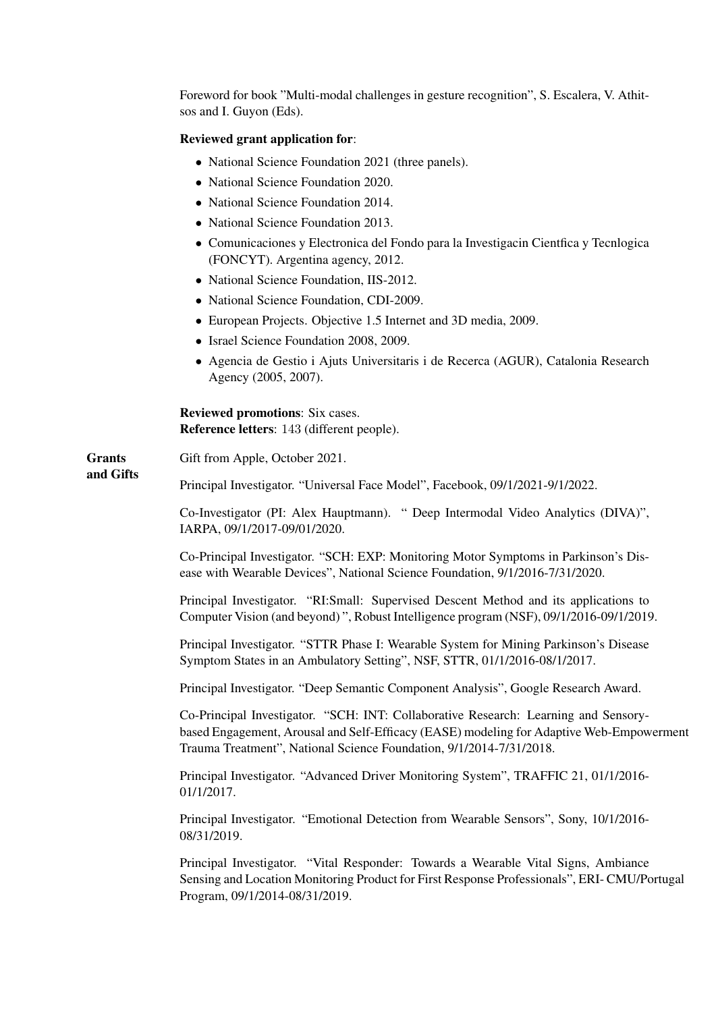Foreword for book "Multi-modal challenges in gesture recognition", S. Escalera, V. Athitsos and I. Guyon (Eds).

# Reviewed grant application for:

- National Science Foundation 2021 (three panels).
- National Science Foundation 2020.
- National Science Foundation 2014.
- National Science Foundation 2013.
- Comunicaciones y Electronica del Fondo para la Investigacin Cientfica y Tecnlogica (FONCYT). Argentina agency, 2012.
- National Science Foundation, IIS-2012.
- National Science Foundation, CDI-2009.
- European Projects. Objective 1.5 Internet and 3D media, 2009.
- Israel Science Foundation 2008, 2009.
- Agencia de Gestio i Ajuts Universitaris i de Recerca (AGUR), Catalonia Research Agency (2005, 2007).

Reviewed promotions: Six cases. Reference letters: 143 (different people).

**Grants** and Gifts Gift from Apple, October 2021.

Principal Investigator. "Universal Face Model", Facebook, 09/1/2021-9/1/2022.

Co-Investigator (PI: Alex Hauptmann). " Deep Intermodal Video Analytics (DIVA)", IARPA, 09/1/2017-09/01/2020.

Co-Principal Investigator. "SCH: EXP: Monitoring Motor Symptoms in Parkinson's Disease with Wearable Devices", National Science Foundation, 9/1/2016-7/31/2020.

Principal Investigator. "RI:Small: Supervised Descent Method and its applications to Computer Vision (and beyond) ", Robust Intelligence program (NSF), 09/1/2016-09/1/2019.

Principal Investigator. "STTR Phase I: Wearable System for Mining Parkinson's Disease Symptom States in an Ambulatory Setting", NSF, STTR, 01/1/2016-08/1/2017.

Principal Investigator. "Deep Semantic Component Analysis", Google Research Award.

Co-Principal Investigator. "SCH: INT: Collaborative Research: Learning and Sensorybased Engagement, Arousal and Self-Efficacy (EASE) modeling for Adaptive Web-Empowerment Trauma Treatment", National Science Foundation, 9/1/2014-7/31/2018.

Principal Investigator. "Advanced Driver Monitoring System", TRAFFIC 21, 01/1/2016- 01/1/2017.

Principal Investigator. "Emotional Detection from Wearable Sensors", Sony, 10/1/2016- 08/31/2019.

Principal Investigator. "Vital Responder: Towards a Wearable Vital Signs, Ambiance Sensing and Location Monitoring Product for First Response Professionals", ERI- CMU/Portugal Program, 09/1/2014-08/31/2019.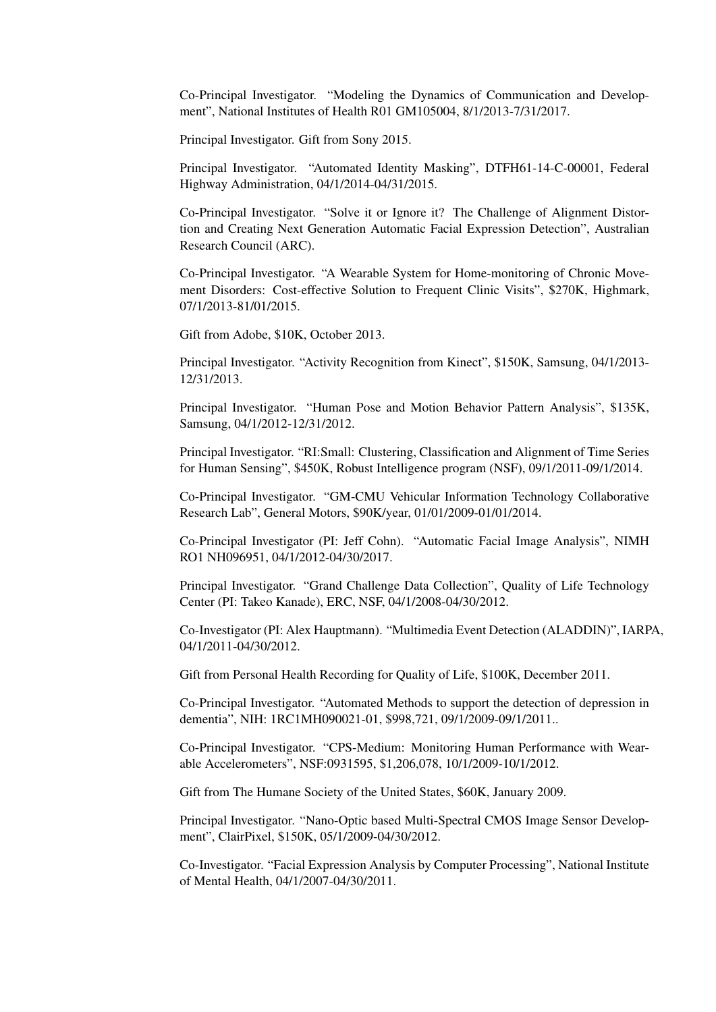Co-Principal Investigator. "Modeling the Dynamics of Communication and Development", National Institutes of Health R01 GM105004, 8/1/2013-7/31/2017.

Principal Investigator. Gift from Sony 2015.

Principal Investigator. "Automated Identity Masking", DTFH61-14-C-00001, Federal Highway Administration, 04/1/2014-04/31/2015.

Co-Principal Investigator. "Solve it or Ignore it? The Challenge of Alignment Distortion and Creating Next Generation Automatic Facial Expression Detection", Australian Research Council (ARC).

Co-Principal Investigator. "A Wearable System for Home-monitoring of Chronic Movement Disorders: Cost-effective Solution to Frequent Clinic Visits", \$270K, Highmark, 07/1/2013-81/01/2015.

Gift from Adobe, \$10K, October 2013.

Principal Investigator. "Activity Recognition from Kinect", \$150K, Samsung, 04/1/2013- 12/31/2013.

Principal Investigator. "Human Pose and Motion Behavior Pattern Analysis", \$135K, Samsung, 04/1/2012-12/31/2012.

Principal Investigator. "RI:Small: Clustering, Classification and Alignment of Time Series for Human Sensing", \$450K, Robust Intelligence program (NSF), 09/1/2011-09/1/2014.

Co-Principal Investigator. "GM-CMU Vehicular Information Technology Collaborative Research Lab", General Motors, \$90K/year, 01/01/2009-01/01/2014.

Co-Principal Investigator (PI: Jeff Cohn). "Automatic Facial Image Analysis", NIMH RO1 NH096951, 04/1/2012-04/30/2017.

Principal Investigator. "Grand Challenge Data Collection", Quality of Life Technology Center (PI: Takeo Kanade), ERC, NSF, 04/1/2008-04/30/2012.

Co-Investigator (PI: Alex Hauptmann). "Multimedia Event Detection (ALADDIN)", IARPA, 04/1/2011-04/30/2012.

Gift from Personal Health Recording for Quality of Life, \$100K, December 2011.

Co-Principal Investigator. "Automated Methods to support the detection of depression in dementia", NIH: 1RC1MH090021-01, \$998,721, 09/1/2009-09/1/2011..

Co-Principal Investigator. "CPS-Medium: Monitoring Human Performance with Wearable Accelerometers", NSF:0931595, \$1,206,078, 10/1/2009-10/1/2012.

Gift from The Humane Society of the United States, \$60K, January 2009.

Principal Investigator. "Nano-Optic based Multi-Spectral CMOS Image Sensor Development", ClairPixel, \$150K, 05/1/2009-04/30/2012.

Co-Investigator. "Facial Expression Analysis by Computer Processing", National Institute of Mental Health, 04/1/2007-04/30/2011.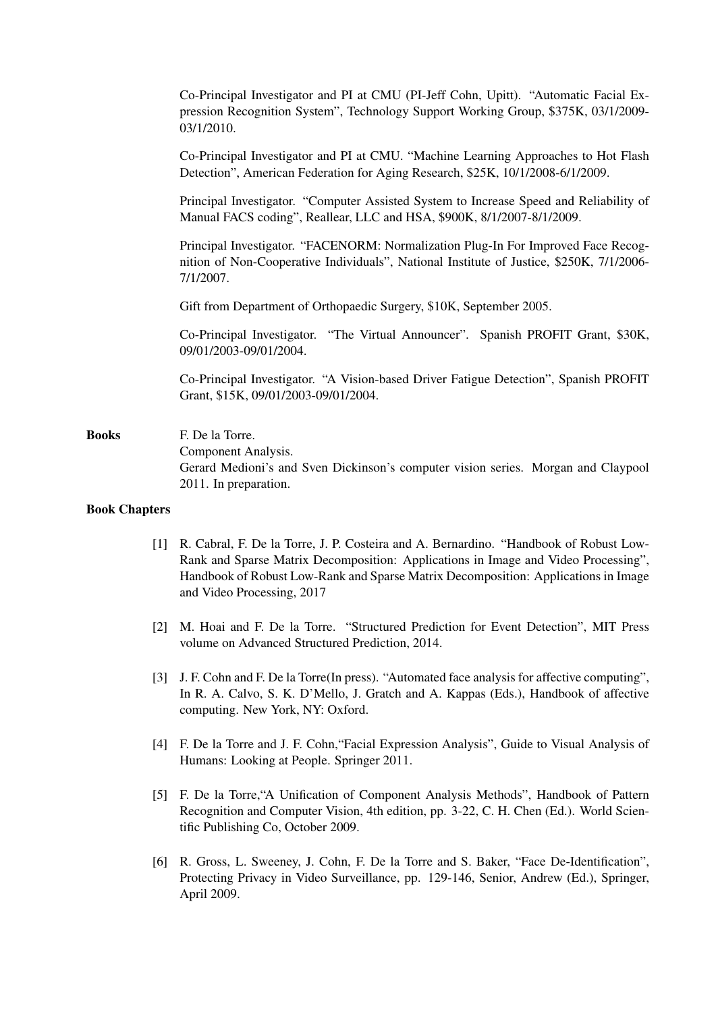Co-Principal Investigator and PI at CMU (PI-Jeff Cohn, Upitt). "Automatic Facial Expression Recognition System", Technology Support Working Group, \$375K, 03/1/2009- 03/1/2010.

Co-Principal Investigator and PI at CMU. "Machine Learning Approaches to Hot Flash Detection", American Federation for Aging Research, \$25K, 10/1/2008-6/1/2009.

Principal Investigator. "Computer Assisted System to Increase Speed and Reliability of Manual FACS coding", Reallear, LLC and HSA, \$900K, 8/1/2007-8/1/2009.

Principal Investigator. "FACENORM: Normalization Plug-In For Improved Face Recognition of Non-Cooperative Individuals", National Institute of Justice, \$250K, 7/1/2006- 7/1/2007.

Gift from Department of Orthopaedic Surgery, \$10K, September 2005.

Co-Principal Investigator. "The Virtual Announcer". Spanish PROFIT Grant, \$30K, 09/01/2003-09/01/2004.

Co-Principal Investigator. "A Vision-based Driver Fatigue Detection", Spanish PROFIT Grant, \$15K, 09/01/2003-09/01/2004.

Books F. De la Torre. Component Analysis. Gerard Medioni's and Sven Dickinson's computer vision series. Morgan and Claypool 2011. In preparation.

#### Book Chapters

- [1] R. Cabral, F. De la Torre, J. P. Costeira and A. Bernardino. "Handbook of Robust Low-Rank and Sparse Matrix Decomposition: Applications in Image and Video Processing", Handbook of Robust Low-Rank and Sparse Matrix Decomposition: Applications in Image and Video Processing, 2017
- [2] M. Hoai and F. De la Torre. "Structured Prediction for Event Detection", MIT Press volume on Advanced Structured Prediction, 2014.
- [3] J. F. Cohn and F. De la Torre(In press). "Automated face analysis for affective computing", In R. A. Calvo, S. K. D'Mello, J. Gratch and A. Kappas (Eds.), Handbook of affective computing. New York, NY: Oxford.
- [4] F. De la Torre and J. F. Cohn,"Facial Expression Analysis", Guide to Visual Analysis of Humans: Looking at People. Springer 2011.
- [5] F. De la Torre,"A Unification of Component Analysis Methods", Handbook of Pattern Recognition and Computer Vision, 4th edition, pp. 3-22, C. H. Chen (Ed.). World Scientific Publishing Co, October 2009.
- [6] R. Gross, L. Sweeney, J. Cohn, F. De la Torre and S. Baker, "Face De-Identification", Protecting Privacy in Video Surveillance, pp. 129-146, Senior, Andrew (Ed.), Springer, April 2009.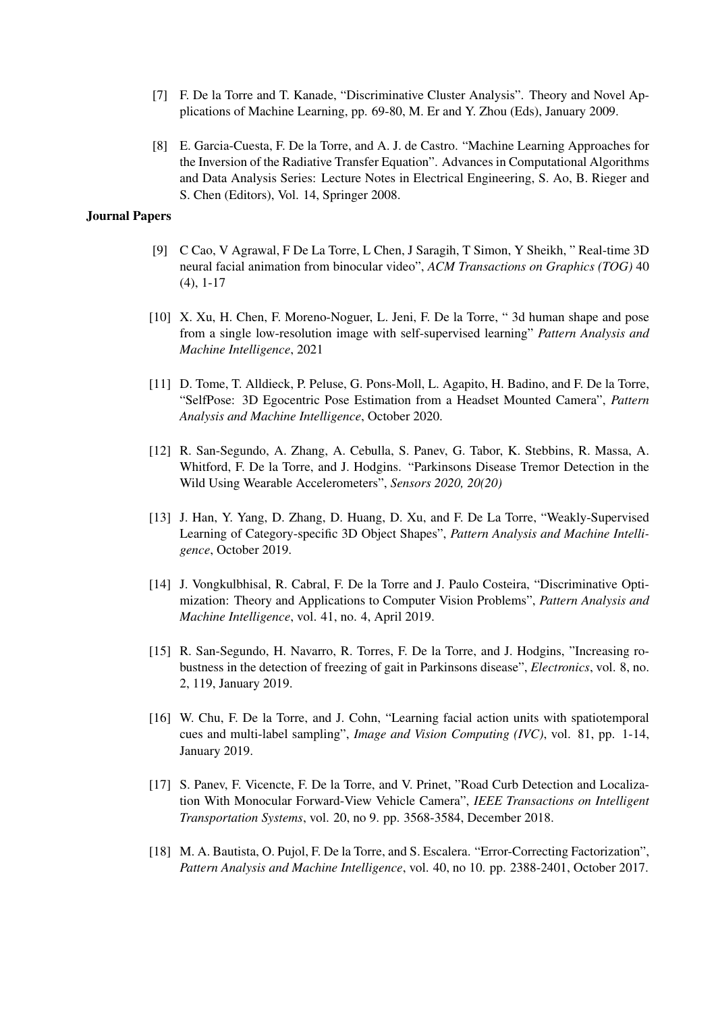- [7] F. De la Torre and T. Kanade, "Discriminative Cluster Analysis". Theory and Novel Applications of Machine Learning, pp. 69-80, M. Er and Y. Zhou (Eds), January 2009.
- [8] E. Garcia-Cuesta, F. De la Torre, and A. J. de Castro. "Machine Learning Approaches for the Inversion of the Radiative Transfer Equation". Advances in Computational Algorithms and Data Analysis Series: Lecture Notes in Electrical Engineering, S. Ao, B. Rieger and S. Chen (Editors), Vol. 14, Springer 2008.

### Journal Papers

- [9] C Cao, V Agrawal, F De La Torre, L Chen, J Saragih, T Simon, Y Sheikh, " Real-time 3D neural facial animation from binocular video", *ACM Transactions on Graphics (TOG)* 40 (4), 1-17
- [10] X. Xu, H. Chen, F. Moreno-Noguer, L. Jeni, F. De la Torre, " 3d human shape and pose from a single low-resolution image with self-supervised learning" *Pattern Analysis and Machine Intelligence*, 2021
- [11] D. Tome, T. Alldieck, P. Peluse, G. Pons-Moll, L. Agapito, H. Badino, and F. De la Torre, "SelfPose: 3D Egocentric Pose Estimation from a Headset Mounted Camera", *Pattern Analysis and Machine Intelligence*, October 2020.
- [12] R. San-Segundo, A. Zhang, A. Cebulla, S. Panev, G. Tabor, K. Stebbins, R. Massa, A. Whitford, F. De la Torre, and J. Hodgins. "Parkinsons Disease Tremor Detection in the Wild Using Wearable Accelerometers", *Sensors 2020, 20(20)*
- [13] J. Han, Y. Yang, D. Zhang, D. Huang, D. Xu, and F. De La Torre, "Weakly-Supervised Learning of Category-specific 3D Object Shapes", *Pattern Analysis and Machine Intelligence*, October 2019.
- [14] J. Vongkulbhisal, R. Cabral, F. De la Torre and J. Paulo Costeira, "Discriminative Optimization: Theory and Applications to Computer Vision Problems", *Pattern Analysis and Machine Intelligence*, vol. 41, no. 4, April 2019.
- [15] R. San-Segundo, H. Navarro, R. Torres, F. De la Torre, and J. Hodgins, "Increasing robustness in the detection of freezing of gait in Parkinsons disease", *Electronics*, vol. 8, no. 2, 119, January 2019.
- [16] W. Chu, F. De la Torre, and J. Cohn, "Learning facial action units with spatiotemporal cues and multi-label sampling", *Image and Vision Computing (IVC)*, vol. 81, pp. 1-14, January 2019.
- [17] S. Panev, F. Vicencte, F. De la Torre, and V. Prinet, "Road Curb Detection and Localization With Monocular Forward-View Vehicle Camera", *IEEE Transactions on Intelligent Transportation Systems*, vol. 20, no 9. pp. 3568-3584, December 2018.
- [18] M. A. Bautista, O. Pujol, F. De la Torre, and S. Escalera. "Error-Correcting Factorization", *Pattern Analysis and Machine Intelligence*, vol. 40, no 10. pp. 2388-2401, October 2017.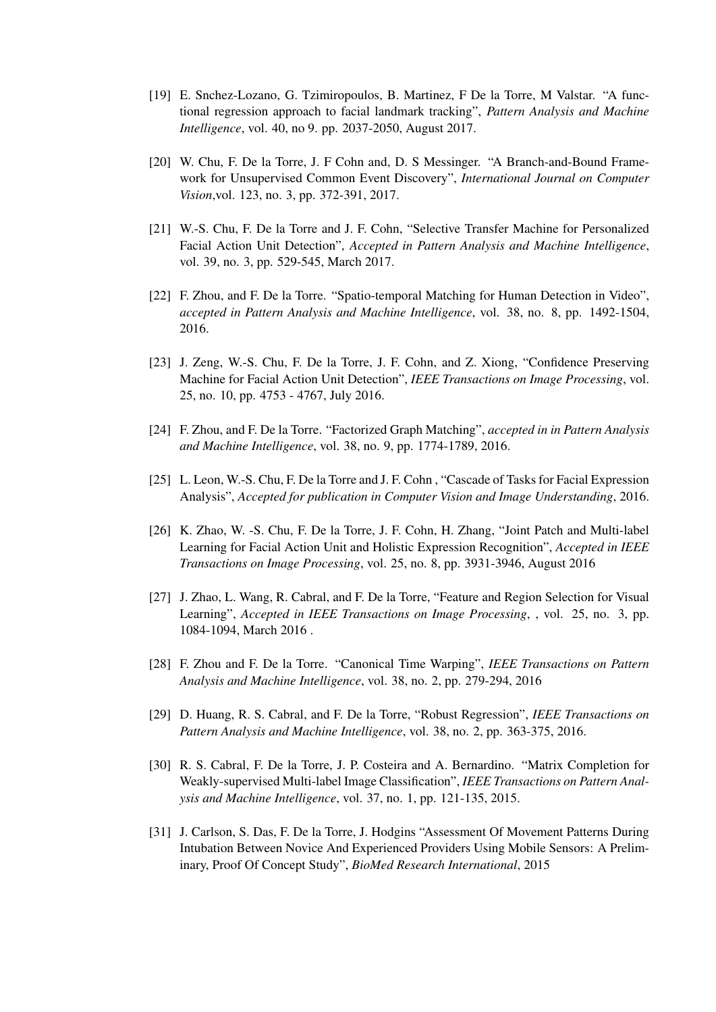- [19] E. Snchez-Lozano, G. Tzimiropoulos, B. Martinez, F De la Torre, M Valstar. "A functional regression approach to facial landmark tracking", *Pattern Analysis and Machine Intelligence*, vol. 40, no 9. pp. 2037-2050, August 2017.
- [20] W. Chu, F. De la Torre, J. F Cohn and, D. S Messinger. "A Branch-and-Bound Framework for Unsupervised Common Event Discovery", *International Journal on Computer Vision*,vol. 123, no. 3, pp. 372-391, 2017.
- [21] W.-S. Chu, F. De la Torre and J. F. Cohn, "Selective Transfer Machine for Personalized Facial Action Unit Detection", *Accepted in Pattern Analysis and Machine Intelligence*, vol. 39, no. 3, pp. 529-545, March 2017.
- [22] F. Zhou, and F. De la Torre. "Spatio-temporal Matching for Human Detection in Video", *accepted in Pattern Analysis and Machine Intelligence*, vol. 38, no. 8, pp. 1492-1504, 2016.
- [23] J. Zeng, W.-S. Chu, F. De la Torre, J. F. Cohn, and Z. Xiong, "Confidence Preserving Machine for Facial Action Unit Detection", *IEEE Transactions on Image Processing*, vol. 25, no. 10, pp. 4753 - 4767, July 2016.
- [24] F. Zhou, and F. De la Torre. "Factorized Graph Matching", *accepted in in Pattern Analysis and Machine Intelligence*, vol. 38, no. 9, pp. 1774-1789, 2016.
- [25] L. Leon, W.-S. Chu, F. De la Torre and J. F. Cohn , "Cascade of Tasks for Facial Expression Analysis", *Accepted for publication in Computer Vision and Image Understanding*, 2016.
- [26] K. Zhao, W. -S. Chu, F. De la Torre, J. F. Cohn, H. Zhang, "Joint Patch and Multi-label Learning for Facial Action Unit and Holistic Expression Recognition", *Accepted in IEEE Transactions on Image Processing*, vol. 25, no. 8, pp. 3931-3946, August 2016
- [27] J. Zhao, L. Wang, R. Cabral, and F. De la Torre, "Feature and Region Selection for Visual Learning", *Accepted in IEEE Transactions on Image Processing*, , vol. 25, no. 3, pp. 1084-1094, March 2016 .
- [28] F. Zhou and F. De la Torre. "Canonical Time Warping", *IEEE Transactions on Pattern Analysis and Machine Intelligence*, vol. 38, no. 2, pp. 279-294, 2016
- [29] D. Huang, R. S. Cabral, and F. De la Torre, "Robust Regression", *IEEE Transactions on Pattern Analysis and Machine Intelligence*, vol. 38, no. 2, pp. 363-375, 2016.
- [30] R. S. Cabral, F. De la Torre, J. P. Costeira and A. Bernardino. "Matrix Completion for Weakly-supervised Multi-label Image Classification", *IEEE Transactions on Pattern Analysis and Machine Intelligence*, vol. 37, no. 1, pp. 121-135, 2015.
- [31] J. Carlson, S. Das, F. De la Torre, J. Hodgins "Assessment Of Movement Patterns During Intubation Between Novice And Experienced Providers Using Mobile Sensors: A Preliminary, Proof Of Concept Study", *BioMed Research International*, 2015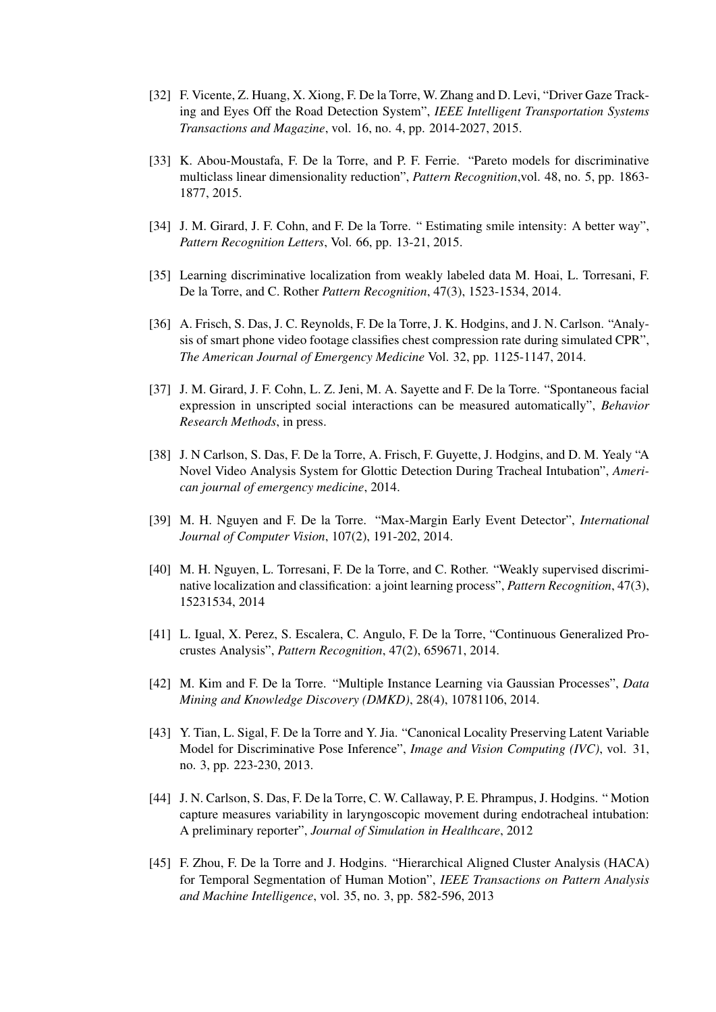- [32] F. Vicente, Z. Huang, X. Xiong, F. De la Torre, W. Zhang and D. Levi, "Driver Gaze Tracking and Eyes Off the Road Detection System", *IEEE Intelligent Transportation Systems Transactions and Magazine*, vol. 16, no. 4, pp. 2014-2027, 2015.
- [33] K. Abou-Moustafa, F. De la Torre, and P. F. Ferrie. "Pareto models for discriminative multiclass linear dimensionality reduction", *Pattern Recognition*,vol. 48, no. 5, pp. 1863- 1877, 2015.
- [34] J. M. Girard, J. F. Cohn, and F. De la Torre. " Estimating smile intensity: A better way", *Pattern Recognition Letters*, Vol. 66, pp. 13-21, 2015.
- [35] Learning discriminative localization from weakly labeled data M. Hoai, L. Torresani, F. De la Torre, and C. Rother *Pattern Recognition*, 47(3), 1523-1534, 2014.
- [36] A. Frisch, S. Das, J. C. Reynolds, F. De la Torre, J. K. Hodgins, and J. N. Carlson. "Analysis of smart phone video footage classifies chest compression rate during simulated CPR", *The American Journal of Emergency Medicine* Vol. 32, pp. 1125-1147, 2014.
- [37] J. M. Girard, J. F. Cohn, L. Z. Jeni, M. A. Sayette and F. De la Torre. "Spontaneous facial expression in unscripted social interactions can be measured automatically", *Behavior Research Methods*, in press.
- [38] J. N Carlson, S. Das, F. De la Torre, A. Frisch, F. Guyette, J. Hodgins, and D. M. Yealy "A Novel Video Analysis System for Glottic Detection During Tracheal Intubation", *American journal of emergency medicine*, 2014.
- [39] M. H. Nguyen and F. De la Torre. "Max-Margin Early Event Detector", *International Journal of Computer Vision*, 107(2), 191-202, 2014.
- [40] M. H. Nguyen, L. Torresani, F. De la Torre, and C. Rother. "Weakly supervised discriminative localization and classification: a joint learning process", *Pattern Recognition*, 47(3), 15231534, 2014
- [41] L. Igual, X. Perez, S. Escalera, C. Angulo, F. De la Torre, "Continuous Generalized Procrustes Analysis", *Pattern Recognition*, 47(2), 659671, 2014.
- [42] M. Kim and F. De la Torre. "Multiple Instance Learning via Gaussian Processes", *Data Mining and Knowledge Discovery (DMKD)*, 28(4), 10781106, 2014.
- [43] Y. Tian, L. Sigal, F. De la Torre and Y. Jia. "Canonical Locality Preserving Latent Variable Model for Discriminative Pose Inference", *Image and Vision Computing (IVC)*, vol. 31, no. 3, pp. 223-230, 2013.
- [44] J. N. Carlson, S. Das, F. De la Torre, C. W. Callaway, P. E. Phrampus, J. Hodgins. " Motion capture measures variability in laryngoscopic movement during endotracheal intubation: A preliminary reporter", *Journal of Simulation in Healthcare*, 2012
- [45] F. Zhou, F. De la Torre and J. Hodgins. "Hierarchical Aligned Cluster Analysis (HACA) for Temporal Segmentation of Human Motion", *IEEE Transactions on Pattern Analysis and Machine Intelligence*, vol. 35, no. 3, pp. 582-596, 2013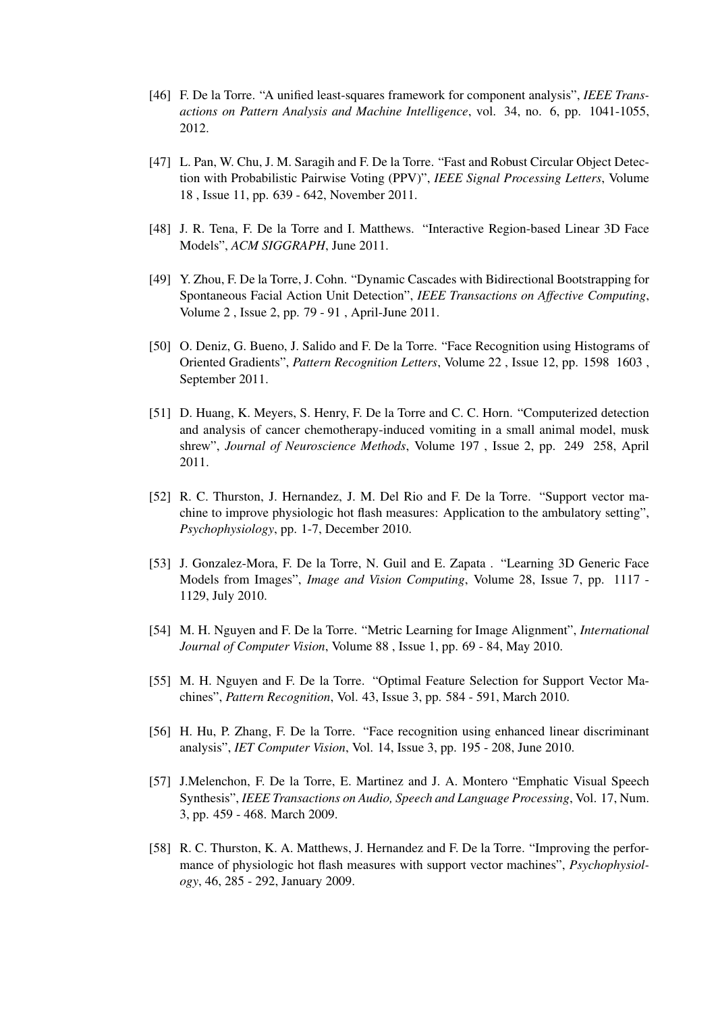- [46] F. De la Torre. "A unified least-squares framework for component analysis", *IEEE Transactions on Pattern Analysis and Machine Intelligence*, vol. 34, no. 6, pp. 1041-1055, 2012.
- [47] L. Pan, W. Chu, J. M. Saragih and F. De la Torre. "Fast and Robust Circular Object Detection with Probabilistic Pairwise Voting (PPV)", *IEEE Signal Processing Letters*, Volume 18 , Issue 11, pp. 639 - 642, November 2011.
- [48] J. R. Tena, F. De la Torre and I. Matthews. "Interactive Region-based Linear 3D Face Models", *ACM SIGGRAPH*, June 2011.
- [49] Y. Zhou, F. De la Torre, J. Cohn. "Dynamic Cascades with Bidirectional Bootstrapping for Spontaneous Facial Action Unit Detection", *IEEE Transactions on Affective Computing*, Volume 2 , Issue 2, pp. 79 - 91 , April-June 2011.
- [50] O. Deniz, G. Bueno, J. Salido and F. De la Torre. "Face Recognition using Histograms of Oriented Gradients", *Pattern Recognition Letters*, Volume 22 , Issue 12, pp. 1598 1603 , September 2011.
- [51] D. Huang, K. Meyers, S. Henry, F. De la Torre and C. C. Horn. "Computerized detection and analysis of cancer chemotherapy-induced vomiting in a small animal model, musk shrew", *Journal of Neuroscience Methods*, Volume 197 , Issue 2, pp. 249 258, April 2011.
- [52] R. C. Thurston, J. Hernandez, J. M. Del Rio and F. De la Torre. "Support vector machine to improve physiologic hot flash measures: Application to the ambulatory setting", *Psychophysiology*, pp. 1-7, December 2010.
- [53] J. Gonzalez-Mora, F. De la Torre, N. Guil and E. Zapata . "Learning 3D Generic Face Models from Images", *Image and Vision Computing*, Volume 28, Issue 7, pp. 1117 - 1129, July 2010.
- [54] M. H. Nguyen and F. De la Torre. "Metric Learning for Image Alignment", *International Journal of Computer Vision*, Volume 88 , Issue 1, pp. 69 - 84, May 2010.
- [55] M. H. Nguyen and F. De la Torre. "Optimal Feature Selection for Support Vector Machines", *Pattern Recognition*, Vol. 43, Issue 3, pp. 584 - 591, March 2010.
- [56] H. Hu, P. Zhang, F. De la Torre. "Face recognition using enhanced linear discriminant analysis", *IET Computer Vision*, Vol. 14, Issue 3, pp. 195 - 208, June 2010.
- [57] J.Melenchon, F. De la Torre, E. Martinez and J. A. Montero "Emphatic Visual Speech Synthesis", *IEEE Transactions on Audio, Speech and Language Processing*, Vol. 17, Num. 3, pp. 459 - 468. March 2009.
- [58] R. C. Thurston, K. A. Matthews, J. Hernandez and F. De la Torre. "Improving the performance of physiologic hot flash measures with support vector machines", *Psychophysiology*, 46, 285 - 292, January 2009.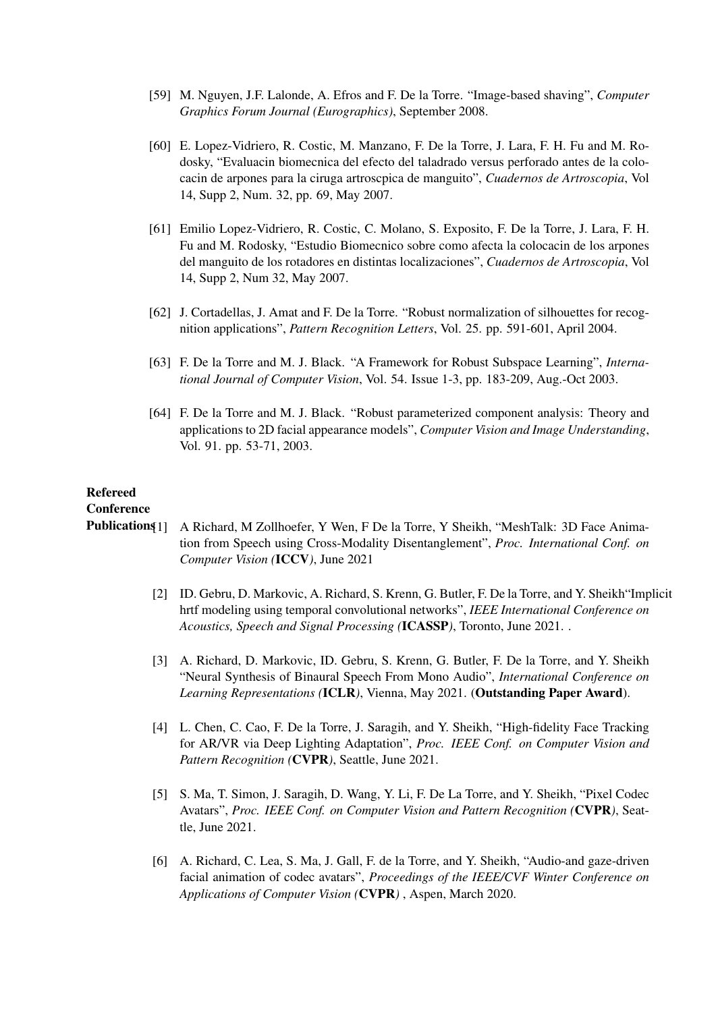- [59] M. Nguyen, J.F. Lalonde, A. Efros and F. De la Torre. "Image-based shaving", *Computer Graphics Forum Journal (Eurographics)*, September 2008.
- [60] E. Lopez-Vidriero, R. Costic, M. Manzano, F. De la Torre, J. Lara, F. H. Fu and M. Rodosky, "Evaluacin biomecnica del efecto del taladrado versus perforado antes de la colocacin de arpones para la ciruga artroscpica de manguito", *Cuadernos de Artroscopia*, Vol 14, Supp 2, Num. 32, pp. 69, May 2007.
- [61] Emilio Lopez-Vidriero, R. Costic, C. Molano, S. Exposito, F. De la Torre, J. Lara, F. H. Fu and M. Rodosky, "Estudio Biomecnico sobre como afecta la colocacin de los arpones del manguito de los rotadores en distintas localizaciones", *Cuadernos de Artroscopia*, Vol 14, Supp 2, Num 32, May 2007.
- [62] J. Cortadellas, J. Amat and F. De la Torre. "Robust normalization of silhouettes for recognition applications", *Pattern Recognition Letters*, Vol. 25. pp. 591-601, April 2004.
- [63] F. De la Torre and M. J. Black. "A Framework for Robust Subspace Learning", *International Journal of Computer Vision*, Vol. 54. Issue 1-3, pp. 183-209, Aug.-Oct 2003.
- [64] F. De la Torre and M. J. Black. "Robust parameterized component analysis: Theory and applications to 2D facial appearance models", *Computer Vision and Image Understanding*, Vol. 91. pp. 53-71, 2003.

# Refereed

# **Conference**

- Publications[1] A Richard, M Zollhoefer, Y Wen, F De la Torre, Y Sheikh, "MeshTalk: 3D Face Animation from Speech using Cross-Modality Disentanglement", *Proc. International Conf. on Computer Vision (*ICCV*)*, June 2021
	- [2] ID. Gebru, D. Markovic, A. Richard, S. Krenn, G. Butler, F. De la Torre, and Y. Sheikh"Implicit hrtf modeling using temporal convolutional networks", *IEEE International Conference on Acoustics, Speech and Signal Processing (*ICASSP*)*, Toronto, June 2021. .
	- [3] A. Richard, D. Markovic, ID. Gebru, S. Krenn, G. Butler, F. De la Torre, and Y. Sheikh "Neural Synthesis of Binaural Speech From Mono Audio", *International Conference on Learning Representations (*ICLR*)*, Vienna, May 2021. (Outstanding Paper Award).
	- [4] L. Chen, C. Cao, F. De la Torre, J. Saragih, and Y. Sheikh, "High-fidelity Face Tracking for AR/VR via Deep Lighting Adaptation", *Proc. IEEE Conf. on Computer Vision and Pattern Recognition (*CVPR*)*, Seattle, June 2021.
	- [5] S. Ma, T. Simon, J. Saragih, D. Wang, Y. Li, F. De La Torre, and Y. Sheikh, "Pixel Codec Avatars", *Proc. IEEE Conf. on Computer Vision and Pattern Recognition (*CVPR*)*, Seattle, June 2021.
	- [6] A. Richard, C. Lea, S. Ma, J. Gall, F. de la Torre, and Y. Sheikh, "Audio-and gaze-driven facial animation of codec avatars", *Proceedings of the IEEE/CVF Winter Conference on Applications of Computer Vision (*CVPR*)* , Aspen, March 2020.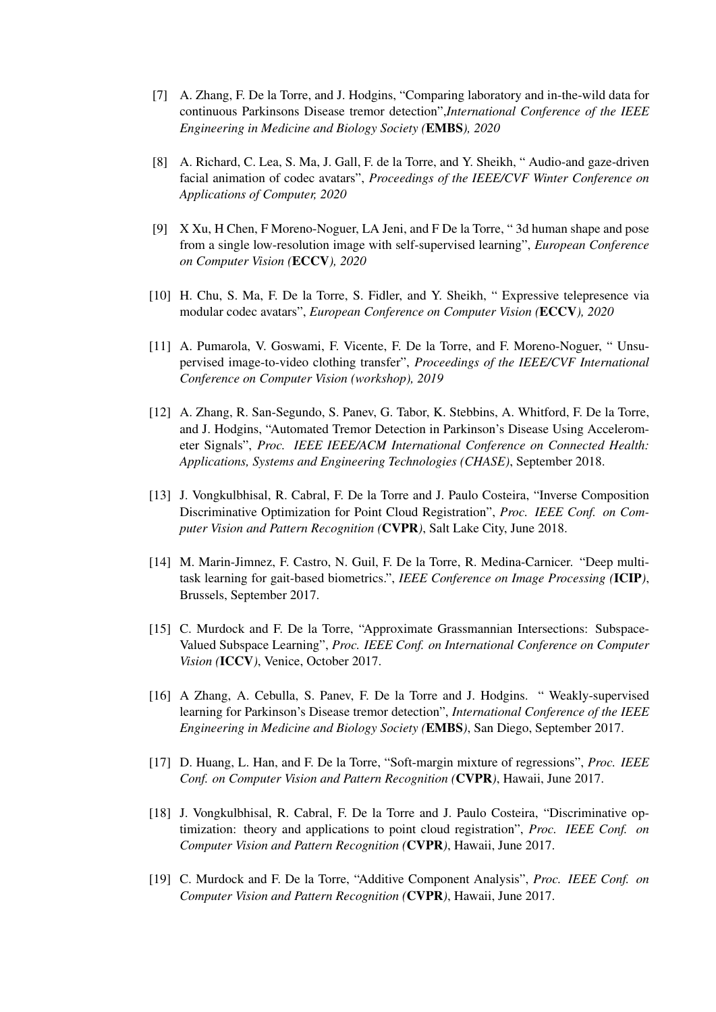- [7] A. Zhang, F. De la Torre, and J. Hodgins, "Comparing laboratory and in-the-wild data for continuous Parkinsons Disease tremor detection",*International Conference of the IEEE Engineering in Medicine and Biology Society (*EMBS*), 2020*
- [8] A. Richard, C. Lea, S. Ma, J. Gall, F. de la Torre, and Y. Sheikh, " Audio-and gaze-driven facial animation of codec avatars", *Proceedings of the IEEE/CVF Winter Conference on Applications of Computer, 2020*
- [9] X Xu, H Chen, F Moreno-Noguer, LA Jeni, and F De la Torre, " 3d human shape and pose from a single low-resolution image with self-supervised learning", *European Conference on Computer Vision (*ECCV*), 2020*
- [10] H. Chu, S. Ma, F. De la Torre, S. Fidler, and Y. Sheikh, " Expressive telepresence via modular codec avatars", *European Conference on Computer Vision (*ECCV*), 2020*
- [11] A. Pumarola, V. Goswami, F. Vicente, F. De la Torre, and F. Moreno-Noguer, " Unsupervised image-to-video clothing transfer", *Proceedings of the IEEE/CVF International Conference on Computer Vision (workshop), 2019*
- [12] A. Zhang, R. San-Segundo, S. Panev, G. Tabor, K. Stebbins, A. Whitford, F. De la Torre, and J. Hodgins, "Automated Tremor Detection in Parkinson's Disease Using Accelerometer Signals", *Proc. IEEE IEEE/ACM International Conference on Connected Health: Applications, Systems and Engineering Technologies (CHASE)*, September 2018.
- [13] J. Vongkulbhisal, R. Cabral, F. De la Torre and J. Paulo Costeira, "Inverse Composition Discriminative Optimization for Point Cloud Registration", *Proc. IEEE Conf. on Computer Vision and Pattern Recognition (*CVPR*)*, Salt Lake City, June 2018.
- [14] M. Marin-Jimnez, F. Castro, N. Guil, F. De la Torre, R. Medina-Carnicer. "Deep multitask learning for gait-based biometrics.", *IEEE Conference on Image Processing (*ICIP*)*, Brussels, September 2017.
- [15] C. Murdock and F. De la Torre, "Approximate Grassmannian Intersections: Subspace-Valued Subspace Learning", *Proc. IEEE Conf. on International Conference on Computer Vision (*ICCV*)*, Venice, October 2017.
- [16] A Zhang, A. Cebulla, S. Panev, F. De la Torre and J. Hodgins. " Weakly-supervised learning for Parkinson's Disease tremor detection", *International Conference of the IEEE Engineering in Medicine and Biology Society (*EMBS*)*, San Diego, September 2017.
- [17] D. Huang, L. Han, and F. De la Torre, "Soft-margin mixture of regressions", *Proc. IEEE Conf. on Computer Vision and Pattern Recognition (*CVPR*)*, Hawaii, June 2017.
- [18] J. Vongkulbhisal, R. Cabral, F. De la Torre and J. Paulo Costeira, "Discriminative optimization: theory and applications to point cloud registration", *Proc. IEEE Conf. on Computer Vision and Pattern Recognition (*CVPR*)*, Hawaii, June 2017.
- [19] C. Murdock and F. De la Torre, "Additive Component Analysis", *Proc. IEEE Conf. on Computer Vision and Pattern Recognition (*CVPR*)*, Hawaii, June 2017.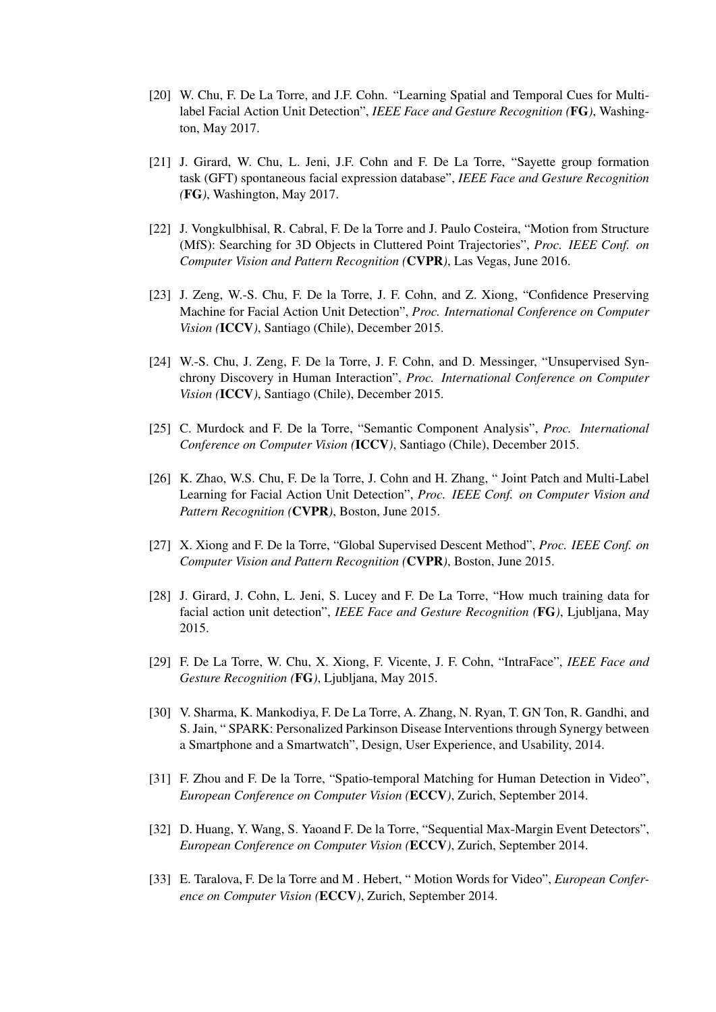- [20] W. Chu, F. De La Torre, and J.F. Cohn. "Learning Spatial and Temporal Cues for Multilabel Facial Action Unit Detection", *IEEE Face and Gesture Recognition (*FG*)*, Washington, May 2017.
- [21] J. Girard, W. Chu, L. Jeni, J.F. Cohn and F. De La Torre, "Sayette group formation task (GFT) spontaneous facial expression database", *IEEE Face and Gesture Recognition (*FG*)*, Washington, May 2017.
- [22] J. Vongkulbhisal, R. Cabral, F. De la Torre and J. Paulo Costeira, "Motion from Structure (MfS): Searching for 3D Objects in Cluttered Point Trajectories", *Proc. IEEE Conf. on Computer Vision and Pattern Recognition (*CVPR*)*, Las Vegas, June 2016.
- [23] J. Zeng, W.-S. Chu, F. De la Torre, J. F. Cohn, and Z. Xiong, "Confidence Preserving Machine for Facial Action Unit Detection", *Proc. International Conference on Computer Vision (*ICCV*)*, Santiago (Chile), December 2015.
- [24] W.-S. Chu, J. Zeng, F. De la Torre, J. F. Cohn, and D. Messinger, "Unsupervised Synchrony Discovery in Human Interaction", *Proc. International Conference on Computer Vision (*ICCV*)*, Santiago (Chile), December 2015.
- [25] C. Murdock and F. De la Torre, "Semantic Component Analysis", *Proc. International Conference on Computer Vision (*ICCV*)*, Santiago (Chile), December 2015.
- [26] K. Zhao, W.S. Chu, F. De la Torre, J. Cohn and H. Zhang, " Joint Patch and Multi-Label Learning for Facial Action Unit Detection", *Proc. IEEE Conf. on Computer Vision and Pattern Recognition (*CVPR*)*, Boston, June 2015.
- [27] X. Xiong and F. De la Torre, "Global Supervised Descent Method", *Proc. IEEE Conf. on Computer Vision and Pattern Recognition (*CVPR*)*, Boston, June 2015.
- [28] J. Girard, J. Cohn, L. Jeni, S. Lucey and F. De La Torre, "How much training data for facial action unit detection", *IEEE Face and Gesture Recognition (*FG*)*, Ljubljana, May 2015.
- [29] F. De La Torre, W. Chu, X. Xiong, F. Vicente, J. F. Cohn, "IntraFace", *IEEE Face and Gesture Recognition (*FG*)*, Ljubljana, May 2015.
- [30] V. Sharma, K. Mankodiya, F. De La Torre, A. Zhang, N. Ryan, T. GN Ton, R. Gandhi, and S. Jain, " SPARK: Personalized Parkinson Disease Interventions through Synergy between a Smartphone and a Smartwatch", Design, User Experience, and Usability, 2014.
- [31] F. Zhou and F. De la Torre, "Spatio-temporal Matching for Human Detection in Video", *European Conference on Computer Vision (*ECCV*)*, Zurich, September 2014.
- [32] D. Huang, Y. Wang, S. Yaoand F. De la Torre, "Sequential Max-Margin Event Detectors", *European Conference on Computer Vision (*ECCV*)*, Zurich, September 2014.
- [33] E. Taralova, F. De la Torre and M . Hebert, " Motion Words for Video", *European Conference on Computer Vision (*ECCV*)*, Zurich, September 2014.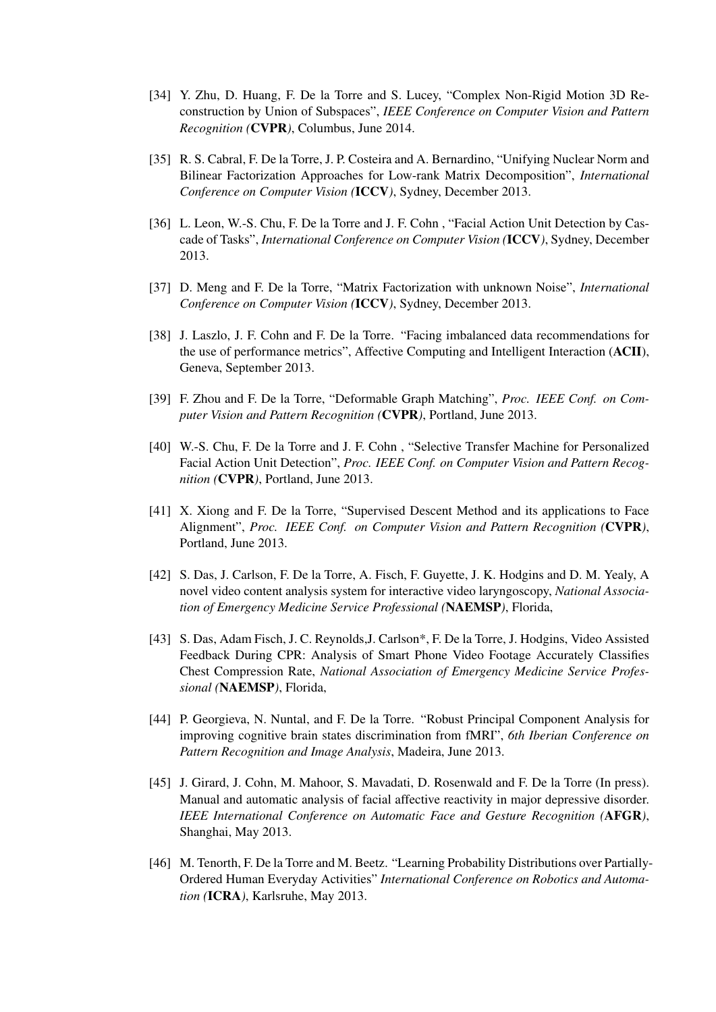- [34] Y. Zhu, D. Huang, F. De la Torre and S. Lucey, "Complex Non-Rigid Motion 3D Reconstruction by Union of Subspaces", *IEEE Conference on Computer Vision and Pattern Recognition (*CVPR*)*, Columbus, June 2014.
- [35] R. S. Cabral, F. De la Torre, J. P. Costeira and A. Bernardino, "Unifying Nuclear Norm and Bilinear Factorization Approaches for Low-rank Matrix Decomposition", *International Conference on Computer Vision (*ICCV*)*, Sydney, December 2013.
- [36] L. Leon, W.-S. Chu, F. De la Torre and J. F. Cohn , "Facial Action Unit Detection by Cascade of Tasks", *International Conference on Computer Vision (*ICCV*)*, Sydney, December 2013.
- [37] D. Meng and F. De la Torre, "Matrix Factorization with unknown Noise", *International Conference on Computer Vision (*ICCV*)*, Sydney, December 2013.
- [38] J. Laszlo, J. F. Cohn and F. De la Torre. "Facing imbalanced data recommendations for the use of performance metrics", Affective Computing and Intelligent Interaction (ACII), Geneva, September 2013.
- [39] F. Zhou and F. De la Torre, "Deformable Graph Matching", *Proc. IEEE Conf. on Computer Vision and Pattern Recognition (*CVPR*)*, Portland, June 2013.
- [40] W.-S. Chu, F. De la Torre and J. F. Cohn , "Selective Transfer Machine for Personalized Facial Action Unit Detection", *Proc. IEEE Conf. on Computer Vision and Pattern Recognition (*CVPR*)*, Portland, June 2013.
- [41] X. Xiong and F. De la Torre, "Supervised Descent Method and its applications to Face Alignment", *Proc. IEEE Conf. on Computer Vision and Pattern Recognition (*CVPR*)*, Portland, June 2013.
- [42] S. Das, J. Carlson, F. De la Torre, A. Fisch, F. Guyette, J. K. Hodgins and D. M. Yealy, A novel video content analysis system for interactive video laryngoscopy, *National Association of Emergency Medicine Service Professional (*NAEMSP*)*, Florida,
- [43] S. Das, Adam Fisch, J. C. Reynolds,J. Carlson\*, F. De la Torre, J. Hodgins, Video Assisted Feedback During CPR: Analysis of Smart Phone Video Footage Accurately Classifies Chest Compression Rate, *National Association of Emergency Medicine Service Professional (*NAEMSP*)*, Florida,
- [44] P. Georgieva, N. Nuntal, and F. De la Torre. "Robust Principal Component Analysis for improving cognitive brain states discrimination from fMRI", *6th Iberian Conference on Pattern Recognition and Image Analysis*, Madeira, June 2013.
- [45] J. Girard, J. Cohn, M. Mahoor, S. Mavadati, D. Rosenwald and F. De la Torre (In press). Manual and automatic analysis of facial affective reactivity in major depressive disorder. *IEEE International Conference on Automatic Face and Gesture Recognition (*AFGR*)*, Shanghai, May 2013.
- [46] M. Tenorth, F. De la Torre and M. Beetz. "Learning Probability Distributions over Partially-Ordered Human Everyday Activities" *International Conference on Robotics and Automation (*ICRA*)*, Karlsruhe, May 2013.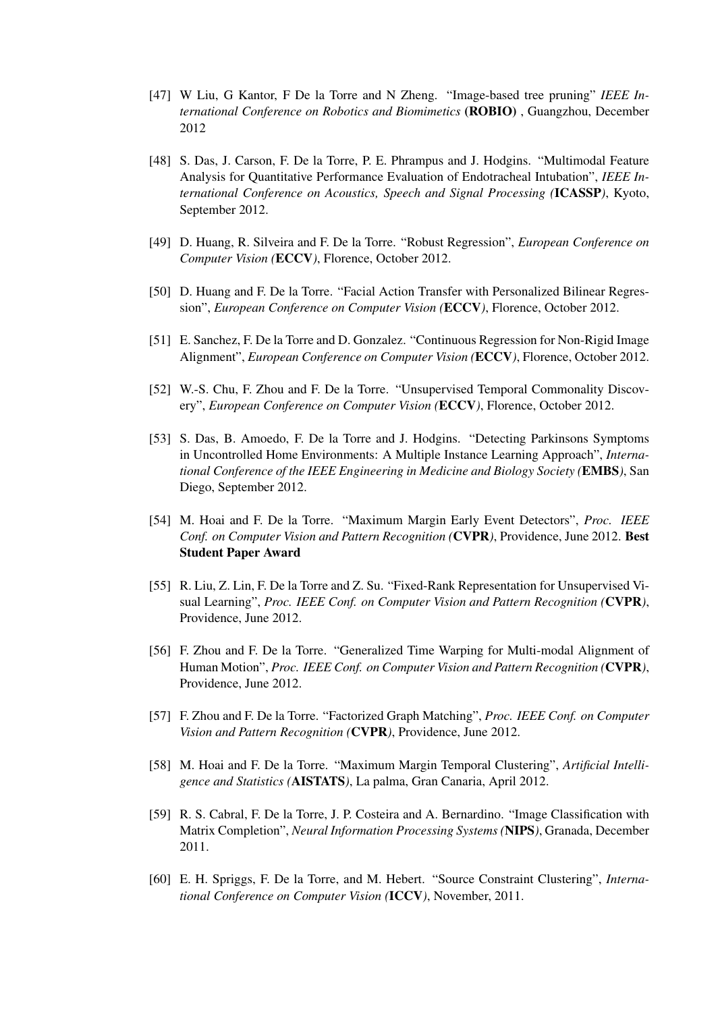- [47] W Liu, G Kantor, F De la Torre and N Zheng. "Image-based tree pruning" *IEEE International Conference on Robotics and Biomimetics* (ROBIO) , Guangzhou, December 2012
- [48] S. Das, J. Carson, F. De la Torre, P. E. Phrampus and J. Hodgins. "Multimodal Feature Analysis for Quantitative Performance Evaluation of Endotracheal Intubation", *IEEE International Conference on Acoustics, Speech and Signal Processing (*ICASSP*)*, Kyoto, September 2012.
- [49] D. Huang, R. Silveira and F. De la Torre. "Robust Regression", *European Conference on Computer Vision (*ECCV*)*, Florence, October 2012.
- [50] D. Huang and F. De la Torre. "Facial Action Transfer with Personalized Bilinear Regression", *European Conference on Computer Vision (*ECCV*)*, Florence, October 2012.
- [51] E. Sanchez, F. De la Torre and D. Gonzalez. "Continuous Regression for Non-Rigid Image Alignment", *European Conference on Computer Vision (*ECCV*)*, Florence, October 2012.
- [52] W.-S. Chu, F. Zhou and F. De la Torre. "Unsupervised Temporal Commonality Discovery", *European Conference on Computer Vision (*ECCV*)*, Florence, October 2012.
- [53] S. Das, B. Amoedo, F. De la Torre and J. Hodgins. "Detecting Parkinsons Symptoms in Uncontrolled Home Environments: A Multiple Instance Learning Approach", *International Conference of the IEEE Engineering in Medicine and Biology Society (*EMBS*)*, San Diego, September 2012.
- [54] M. Hoai and F. De la Torre. "Maximum Margin Early Event Detectors", *Proc. IEEE Conf. on Computer Vision and Pattern Recognition (*CVPR*)*, Providence, June 2012. Best Student Paper Award
- [55] R. Liu, Z. Lin, F. De la Torre and Z. Su. "Fixed-Rank Representation for Unsupervised Visual Learning", *Proc. IEEE Conf. on Computer Vision and Pattern Recognition (*CVPR*)*, Providence, June 2012.
- [56] F. Zhou and F. De la Torre. "Generalized Time Warping for Multi-modal Alignment of Human Motion", *Proc. IEEE Conf. on Computer Vision and Pattern Recognition (*CVPR*)*, Providence, June 2012.
- [57] F. Zhou and F. De la Torre. "Factorized Graph Matching", *Proc. IEEE Conf. on Computer Vision and Pattern Recognition (*CVPR*)*, Providence, June 2012.
- [58] M. Hoai and F. De la Torre. "Maximum Margin Temporal Clustering", *Artificial Intelligence and Statistics (*AISTATS*)*, La palma, Gran Canaria, April 2012.
- [59] R. S. Cabral, F. De la Torre, J. P. Costeira and A. Bernardino. "Image Classification with Matrix Completion", *Neural Information Processing Systems (*NIPS*)*, Granada, December 2011.
- [60] E. H. Spriggs, F. De la Torre, and M. Hebert. "Source Constraint Clustering", *International Conference on Computer Vision (*ICCV*)*, November, 2011.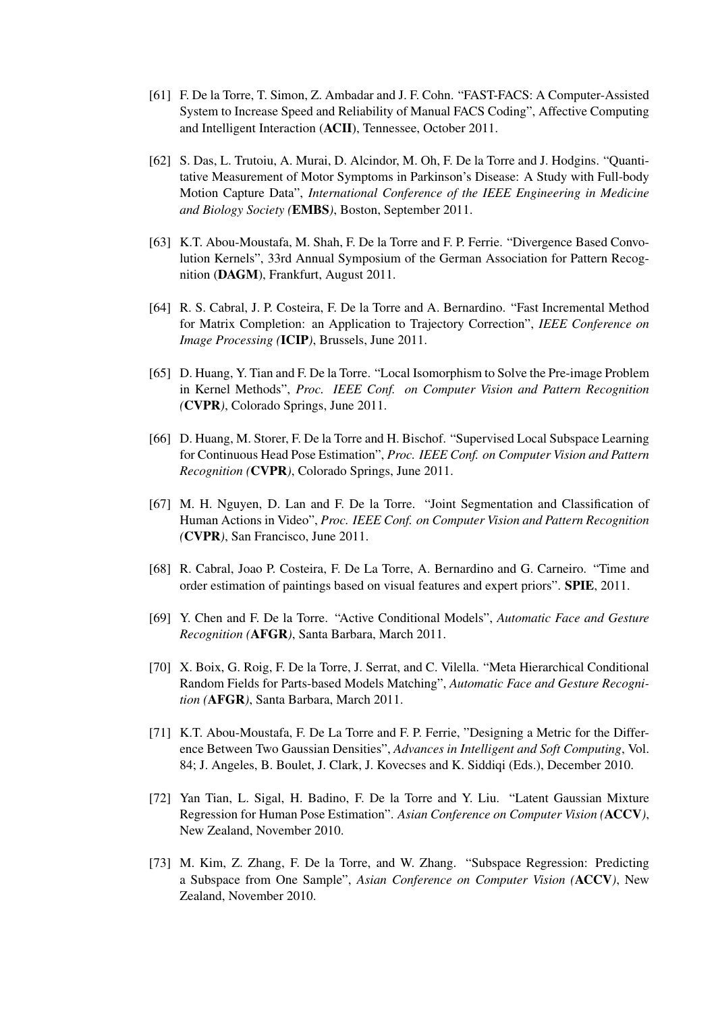- [61] F. De la Torre, T. Simon, Z. Ambadar and J. F. Cohn. "FAST-FACS: A Computer-Assisted System to Increase Speed and Reliability of Manual FACS Coding", Affective Computing and Intelligent Interaction (ACII), Tennessee, October 2011.
- [62] S. Das, L. Trutoiu, A. Murai, D. Alcindor, M. Oh, F. De la Torre and J. Hodgins. "Quantitative Measurement of Motor Symptoms in Parkinson's Disease: A Study with Full-body Motion Capture Data", *International Conference of the IEEE Engineering in Medicine and Biology Society (*EMBS*)*, Boston, September 2011.
- [63] K.T. Abou-Moustafa, M. Shah, F. De la Torre and F. P. Ferrie. "Divergence Based Convolution Kernels", 33rd Annual Symposium of the German Association for Pattern Recognition (DAGM), Frankfurt, August 2011.
- [64] R. S. Cabral, J. P. Costeira, F. De la Torre and A. Bernardino. "Fast Incremental Method for Matrix Completion: an Application to Trajectory Correction", *IEEE Conference on Image Processing (*ICIP*)*, Brussels, June 2011.
- [65] D. Huang, Y. Tian and F. De la Torre. "Local Isomorphism to Solve the Pre-image Problem in Kernel Methods", *Proc. IEEE Conf. on Computer Vision and Pattern Recognition (*CVPR*)*, Colorado Springs, June 2011.
- [66] D. Huang, M. Storer, F. De la Torre and H. Bischof. "Supervised Local Subspace Learning for Continuous Head Pose Estimation", *Proc. IEEE Conf. on Computer Vision and Pattern Recognition (*CVPR*)*, Colorado Springs, June 2011.
- [67] M. H. Nguyen, D. Lan and F. De la Torre. "Joint Segmentation and Classification of Human Actions in Video", *Proc. IEEE Conf. on Computer Vision and Pattern Recognition (*CVPR*)*, San Francisco, June 2011.
- [68] R. Cabral, Joao P. Costeira, F. De La Torre, A. Bernardino and G. Carneiro. "Time and order estimation of paintings based on visual features and expert priors". SPIE, 2011.
- [69] Y. Chen and F. De la Torre. "Active Conditional Models", *Automatic Face and Gesture Recognition (*AFGR*)*, Santa Barbara, March 2011.
- [70] X. Boix, G. Roig, F. De la Torre, J. Serrat, and C. Vilella. "Meta Hierarchical Conditional Random Fields for Parts-based Models Matching", *Automatic Face and Gesture Recognition (*AFGR*)*, Santa Barbara, March 2011.
- [71] K.T. Abou-Moustafa, F. De La Torre and F. P. Ferrie, "Designing a Metric for the Difference Between Two Gaussian Densities", *Advances in Intelligent and Soft Computing*, Vol. 84; J. Angeles, B. Boulet, J. Clark, J. Kovecses and K. Siddiqi (Eds.), December 2010.
- [72] Yan Tian, L. Sigal, H. Badino, F. De la Torre and Y. Liu. "Latent Gaussian Mixture Regression for Human Pose Estimation". *Asian Conference on Computer Vision (*ACCV*)*, New Zealand, November 2010.
- [73] M. Kim, Z. Zhang, F. De la Torre, and W. Zhang. "Subspace Regression: Predicting a Subspace from One Sample", *Asian Conference on Computer Vision (*ACCV*)*, New Zealand, November 2010.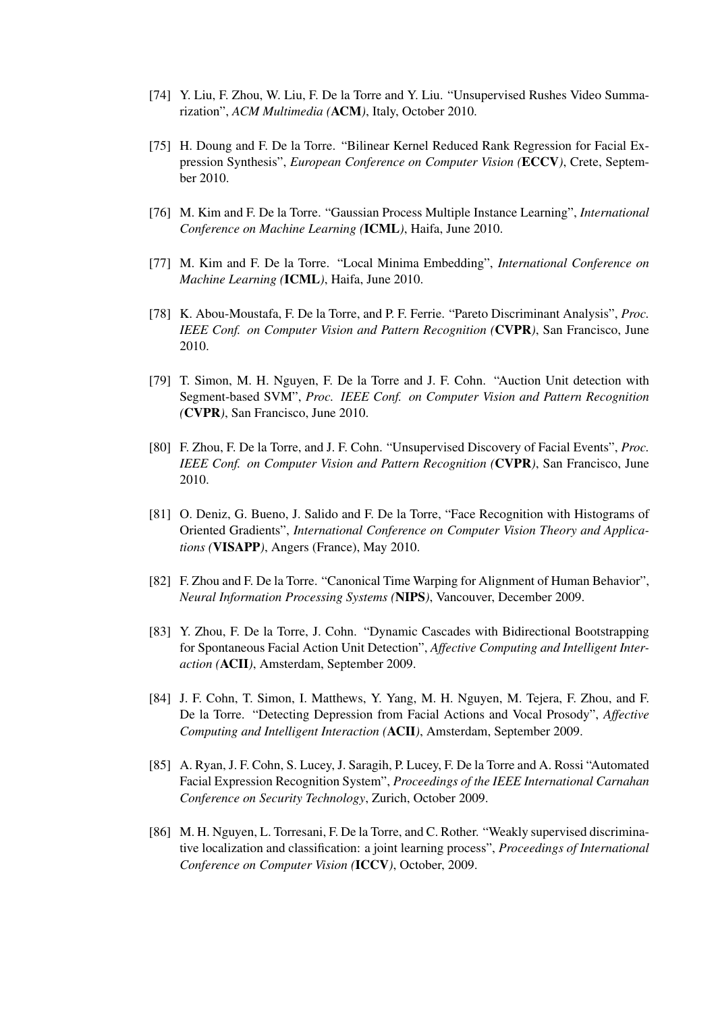- [74] Y. Liu, F. Zhou, W. Liu, F. De la Torre and Y. Liu. "Unsupervised Rushes Video Summarization", *ACM Multimedia (*ACM*)*, Italy, October 2010.
- [75] H. Doung and F. De la Torre. "Bilinear Kernel Reduced Rank Regression for Facial Expression Synthesis", *European Conference on Computer Vision (*ECCV*)*, Crete, September 2010.
- [76] M. Kim and F. De la Torre. "Gaussian Process Multiple Instance Learning", *International Conference on Machine Learning (*ICML*)*, Haifa, June 2010.
- [77] M. Kim and F. De la Torre. "Local Minima Embedding", *International Conference on Machine Learning (*ICML*)*, Haifa, June 2010.
- [78] K. Abou-Moustafa, F. De la Torre, and P. F. Ferrie. "Pareto Discriminant Analysis", *Proc. IEEE Conf. on Computer Vision and Pattern Recognition (*CVPR*)*, San Francisco, June 2010.
- [79] T. Simon, M. H. Nguyen, F. De la Torre and J. F. Cohn. "Auction Unit detection with Segment-based SVM", *Proc. IEEE Conf. on Computer Vision and Pattern Recognition (*CVPR*)*, San Francisco, June 2010.
- [80] F. Zhou, F. De la Torre, and J. F. Cohn. "Unsupervised Discovery of Facial Events", *Proc. IEEE Conf. on Computer Vision and Pattern Recognition (*CVPR*)*, San Francisco, June 2010.
- [81] O. Deniz, G. Bueno, J. Salido and F. De la Torre, "Face Recognition with Histograms of Oriented Gradients", *International Conference on Computer Vision Theory and Applications (*VISAPP*)*, Angers (France), May 2010.
- [82] F. Zhou and F. De la Torre. "Canonical Time Warping for Alignment of Human Behavior", *Neural Information Processing Systems (*NIPS*)*, Vancouver, December 2009.
- [83] Y. Zhou, F. De la Torre, J. Cohn. "Dynamic Cascades with Bidirectional Bootstrapping for Spontaneous Facial Action Unit Detection", *Affective Computing and Intelligent Interaction (*ACII*)*, Amsterdam, September 2009.
- [84] J. F. Cohn, T. Simon, I. Matthews, Y. Yang, M. H. Nguyen, M. Tejera, F. Zhou, and F. De la Torre. "Detecting Depression from Facial Actions and Vocal Prosody", *Affective Computing and Intelligent Interaction (*ACII*)*, Amsterdam, September 2009.
- [85] A. Ryan, J. F. Cohn, S. Lucey, J. Saragih, P. Lucey, F. De la Torre and A. Rossi "Automated Facial Expression Recognition System", *Proceedings of the IEEE International Carnahan Conference on Security Technology*, Zurich, October 2009.
- [86] M. H. Nguyen, L. Torresani, F. De la Torre, and C. Rother. "Weakly supervised discriminative localization and classification: a joint learning process", *Proceedings of International Conference on Computer Vision (*ICCV*)*, October, 2009.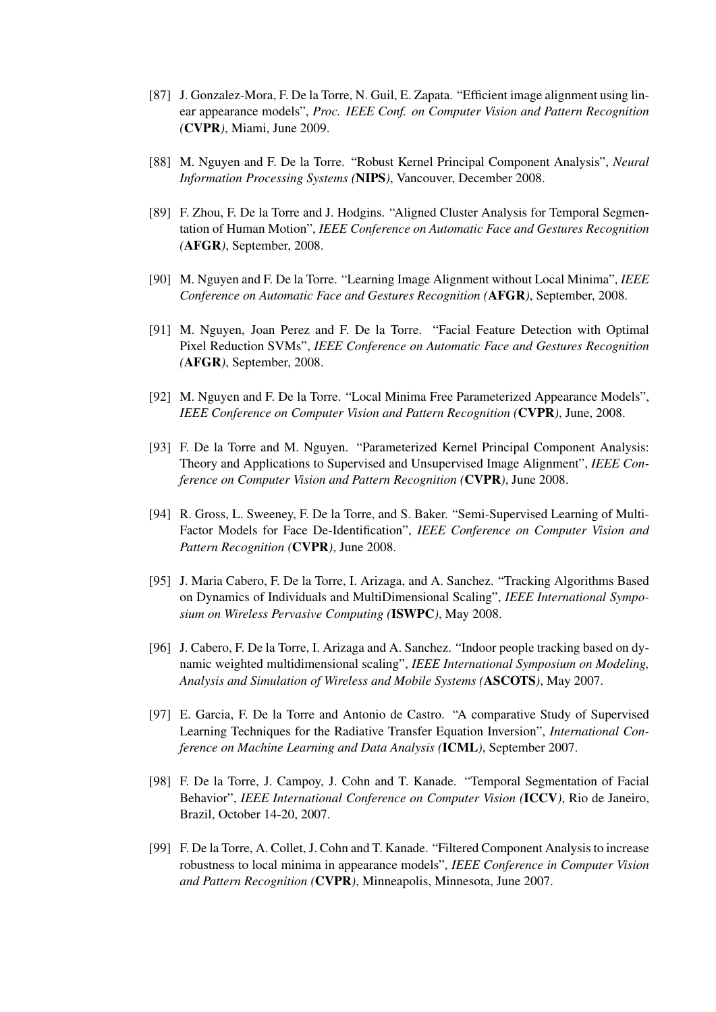- [87] J. Gonzalez-Mora, F. De la Torre, N. Guil, E. Zapata. "Efficient image alignment using linear appearance models", *Proc. IEEE Conf. on Computer Vision and Pattern Recognition (*CVPR*)*, Miami, June 2009.
- [88] M. Nguyen and F. De la Torre. "Robust Kernel Principal Component Analysis", *Neural Information Processing Systems (*NIPS*)*, Vancouver, December 2008.
- [89] F. Zhou, F. De la Torre and J. Hodgins. "Aligned Cluster Analysis for Temporal Segmentation of Human Motion", *IEEE Conference on Automatic Face and Gestures Recognition (*AFGR*)*, September, 2008.
- [90] M. Nguyen and F. De la Torre. "Learning Image Alignment without Local Minima", *IEEE Conference on Automatic Face and Gestures Recognition (*AFGR*)*, September, 2008.
- [91] M. Nguyen, Joan Perez and F. De la Torre. "Facial Feature Detection with Optimal Pixel Reduction SVMs", *IEEE Conference on Automatic Face and Gestures Recognition (*AFGR*)*, September, 2008.
- [92] M. Nguyen and F. De la Torre. "Local Minima Free Parameterized Appearance Models", *IEEE Conference on Computer Vision and Pattern Recognition (*CVPR*)*, June, 2008.
- [93] F. De la Torre and M. Nguyen. "Parameterized Kernel Principal Component Analysis: Theory and Applications to Supervised and Unsupervised Image Alignment", *IEEE Conference on Computer Vision and Pattern Recognition (*CVPR*)*, June 2008.
- [94] R. Gross, L. Sweeney, F. De la Torre, and S. Baker. "Semi-Supervised Learning of Multi-Factor Models for Face De-Identification", *IEEE Conference on Computer Vision and Pattern Recognition (*CVPR*)*, June 2008.
- [95] J. Maria Cabero, F. De la Torre, I. Arizaga, and A. Sanchez. "Tracking Algorithms Based on Dynamics of Individuals and MultiDimensional Scaling", *IEEE International Symposium on Wireless Pervasive Computing (*ISWPC*)*, May 2008.
- [96] J. Cabero, F. De la Torre, I. Arizaga and A. Sanchez. "Indoor people tracking based on dynamic weighted multidimensional scaling", *IEEE International Symposium on Modeling, Analysis and Simulation of Wireless and Mobile Systems (*ASCOTS*)*, May 2007.
- [97] E. Garcia, F. De la Torre and Antonio de Castro. "A comparative Study of Supervised Learning Techniques for the Radiative Transfer Equation Inversion", *International Conference on Machine Learning and Data Analysis (*ICML*)*, September 2007.
- [98] F. De la Torre, J. Campoy, J. Cohn and T. Kanade. "Temporal Segmentation of Facial Behavior", *IEEE International Conference on Computer Vision (*ICCV*)*, Rio de Janeiro, Brazil, October 14-20, 2007.
- [99] F. De la Torre, A. Collet, J. Cohn and T. Kanade. "Filtered Component Analysis to increase robustness to local minima in appearance models", *IEEE Conference in Computer Vision and Pattern Recognition (*CVPR*)*, Minneapolis, Minnesota, June 2007.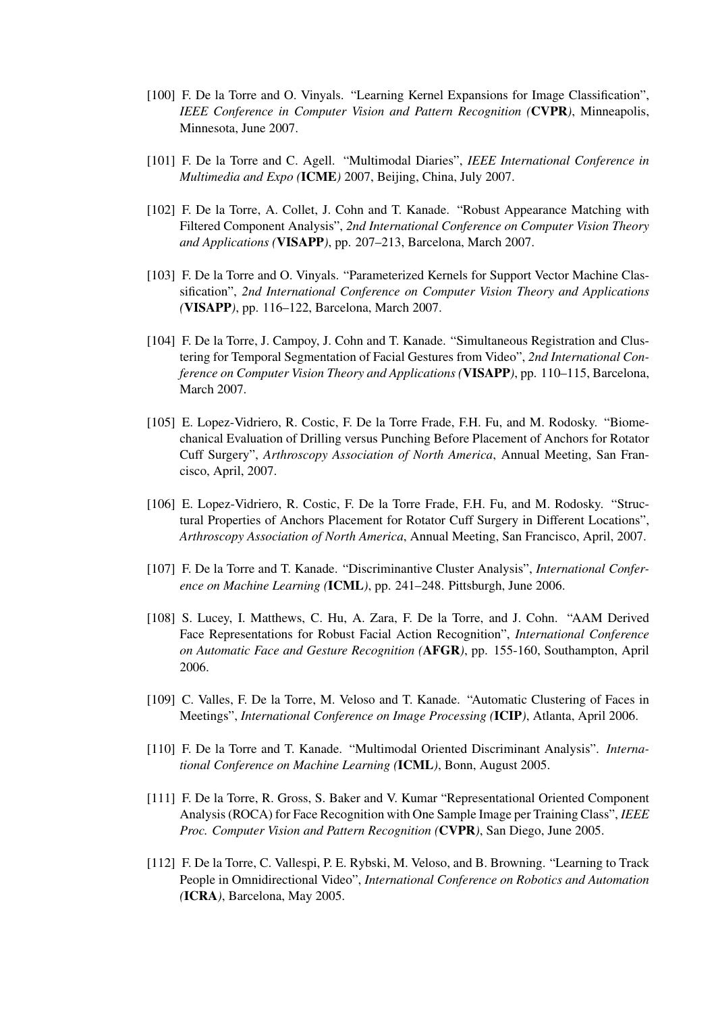- [100] F. De la Torre and O. Vinyals. "Learning Kernel Expansions for Image Classification", *IEEE Conference in Computer Vision and Pattern Recognition (*CVPR*)*, Minneapolis, Minnesota, June 2007.
- [101] F. De la Torre and C. Agell. "Multimodal Diaries", *IEEE International Conference in Multimedia and Expo (*ICME*)* 2007, Beijing, China, July 2007.
- [102] F. De la Torre, A. Collet, J. Cohn and T. Kanade. "Robust Appearance Matching with Filtered Component Analysis", *2nd International Conference on Computer Vision Theory and Applications (*VISAPP*)*, pp. 207–213, Barcelona, March 2007.
- [103] F. De la Torre and O. Vinyals. "Parameterized Kernels for Support Vector Machine Classification", *2nd International Conference on Computer Vision Theory and Applications (*VISAPP*)*, pp. 116–122, Barcelona, March 2007.
- [104] F. De la Torre, J. Campoy, J. Cohn and T. Kanade. "Simultaneous Registration and Clustering for Temporal Segmentation of Facial Gestures from Video", *2nd International Conference on Computer Vision Theory and Applications (*VISAPP*)*, pp. 110–115, Barcelona, March 2007.
- [105] E. Lopez-Vidriero, R. Costic, F. De la Torre Frade, F.H. Fu, and M. Rodosky. "Biomechanical Evaluation of Drilling versus Punching Before Placement of Anchors for Rotator Cuff Surgery", *Arthroscopy Association of North America*, Annual Meeting, San Francisco, April, 2007.
- [106] E. Lopez-Vidriero, R. Costic, F. De la Torre Frade, F.H. Fu, and M. Rodosky. "Structural Properties of Anchors Placement for Rotator Cuff Surgery in Different Locations", *Arthroscopy Association of North America*, Annual Meeting, San Francisco, April, 2007.
- [107] F. De la Torre and T. Kanade. "Discriminantive Cluster Analysis", *International Conference on Machine Learning (*ICML*)*, pp. 241–248. Pittsburgh, June 2006.
- [108] S. Lucey, I. Matthews, C. Hu, A. Zara, F. De la Torre, and J. Cohn. "AAM Derived Face Representations for Robust Facial Action Recognition", *International Conference on Automatic Face and Gesture Recognition (*AFGR*)*, pp. 155-160, Southampton, April 2006.
- [109] C. Valles, F. De la Torre, M. Veloso and T. Kanade. "Automatic Clustering of Faces in Meetings", *International Conference on Image Processing (*ICIP*)*, Atlanta, April 2006.
- [110] F. De la Torre and T. Kanade. "Multimodal Oriented Discriminant Analysis". *International Conference on Machine Learning (*ICML*)*, Bonn, August 2005.
- [111] F. De la Torre, R. Gross, S. Baker and V. Kumar "Representational Oriented Component Analysis (ROCA) for Face Recognition with One Sample Image per Training Class", *IEEE Proc. Computer Vision and Pattern Recognition (*CVPR*)*, San Diego, June 2005.
- [112] F. De la Torre, C. Vallespi, P. E. Rybski, M. Veloso, and B. Browning. "Learning to Track People in Omnidirectional Video", *International Conference on Robotics and Automation (*ICRA*)*, Barcelona, May 2005.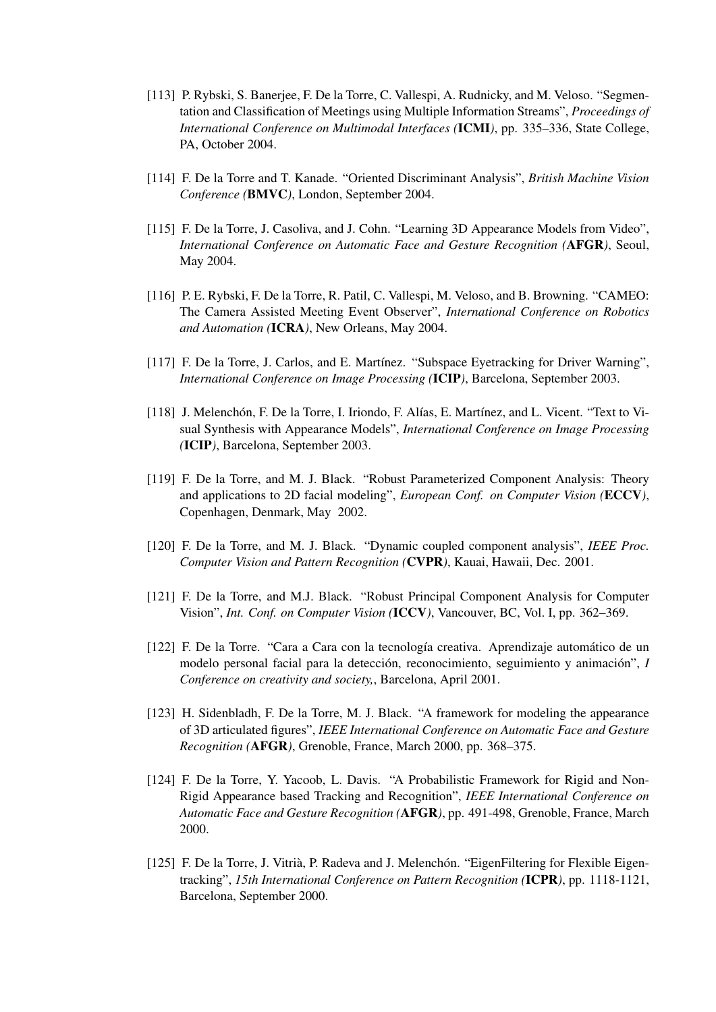- [113] P. Rybski, S. Banerjee, F. De la Torre, C. Vallespi, A. Rudnicky, and M. Veloso. "Segmentation and Classification of Meetings using Multiple Information Streams", *Proceedings of International Conference on Multimodal Interfaces (*ICMI*)*, pp. 335–336, State College, PA, October 2004.
- [114] F. De la Torre and T. Kanade. "Oriented Discriminant Analysis", *British Machine Vision Conference (*BMVC*)*, London, September 2004.
- [115] F. De la Torre, J. Casoliva, and J. Cohn. "Learning 3D Appearance Models from Video", *International Conference on Automatic Face and Gesture Recognition (*AFGR*)*, Seoul, May 2004.
- [116] P. E. Rybski, F. De la Torre, R. Patil, C. Vallespi, M. Veloso, and B. Browning. "CAMEO: The Camera Assisted Meeting Event Observer", *International Conference on Robotics and Automation (*ICRA*)*, New Orleans, May 2004.
- [117] F. De la Torre, J. Carlos, and E. Martínez. "Subspace Eyetracking for Driver Warning", *International Conference on Image Processing (*ICIP*)*, Barcelona, September 2003.
- [118] J. Melenchón, F. De la Torre, I. Iriondo, F. Alías, E. Martínez, and L. Vicent. "Text to Visual Synthesis with Appearance Models", *International Conference on Image Processing (*ICIP*)*, Barcelona, September 2003.
- [119] F. De la Torre, and M. J. Black. "Robust Parameterized Component Analysis: Theory and applications to 2D facial modeling", *European Conf. on Computer Vision (*ECCV*)*, Copenhagen, Denmark, May 2002.
- [120] F. De la Torre, and M. J. Black. "Dynamic coupled component analysis", *IEEE Proc. Computer Vision and Pattern Recognition (*CVPR*)*, Kauai, Hawaii, Dec. 2001.
- [121] F. De la Torre, and M.J. Black. "Robust Principal Component Analysis for Computer Vision", *Int. Conf. on Computer Vision (*ICCV*)*, Vancouver, BC, Vol. I, pp. 362–369.
- [122] F. De la Torre. "Cara a Cara con la tecnología creativa. Aprendizaje automático de un modelo personal facial para la detección, reconocimiento, seguimiento y animación", *I Conference on creativity and society,*, Barcelona, April 2001.
- [123] H. Sidenbladh, F. De la Torre, M. J. Black. "A framework for modeling the appearance of 3D articulated figures", *IEEE International Conference on Automatic Face and Gesture Recognition (*AFGR*)*, Grenoble, France, March 2000, pp. 368–375.
- [124] F. De la Torre, Y. Yacoob, L. Davis. "A Probabilistic Framework for Rigid and Non-Rigid Appearance based Tracking and Recognition", *IEEE International Conference on Automatic Face and Gesture Recognition (*AFGR*)*, pp. 491-498, Grenoble, France, March 2000.
- [125] F. De la Torre, J. Vitrià, P. Radeva and J. Melenchón. "EigenFiltering for Flexible Eigentracking", *15th International Conference on Pattern Recognition (*ICPR*)*, pp. 1118-1121, Barcelona, September 2000.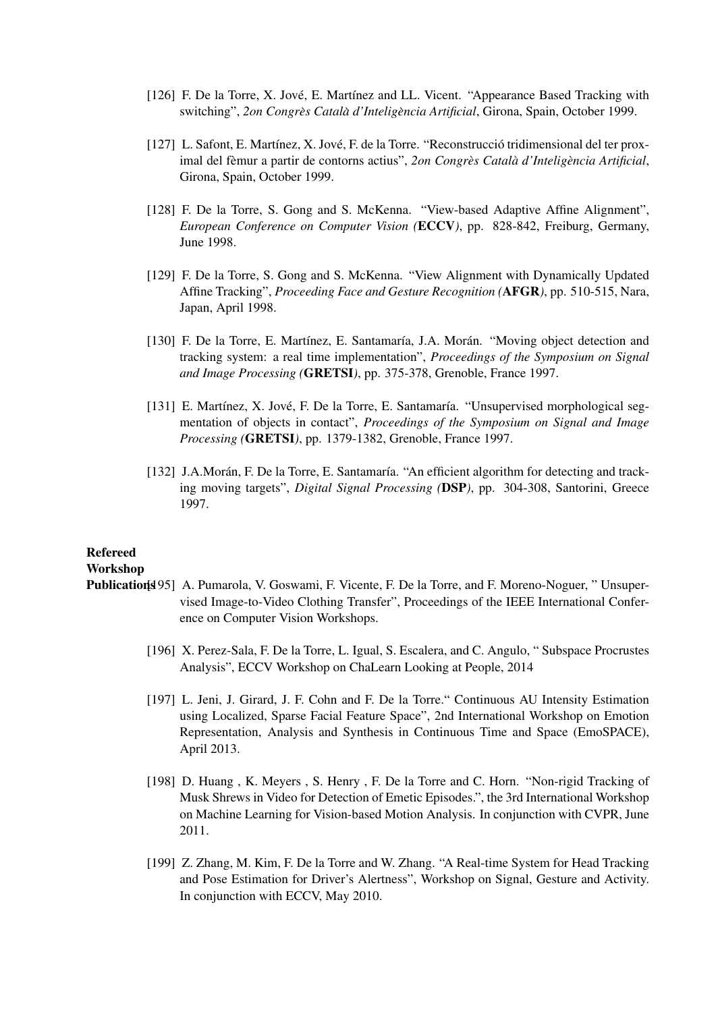- [126] F. De la Torre, X. Jové, E. Martínez and LL. Vicent. "Appearance Based Tracking with switching", *2on Congrès Català d'Inteligència Artificial*, Girona, Spain, October 1999.
- [127] L. Safont, E. Martínez, X. Jové, F. de la Torre. "Reconstrucció tridimensional del ter proximal del fèmur a partir de contorns actius", 2on Congrès Català d'Inteligència Artificial, Girona, Spain, October 1999.
- [128] F. De la Torre, S. Gong and S. McKenna. "View-based Adaptive Affine Alignment", *European Conference on Computer Vision (*ECCV*)*, pp. 828-842, Freiburg, Germany, June 1998.
- [129] F. De la Torre, S. Gong and S. McKenna. "View Alignment with Dynamically Updated Affine Tracking", *Proceeding Face and Gesture Recognition (*AFGR*)*, pp. 510-515, Nara, Japan, April 1998.
- [130] F. De la Torre, E. Martínez, E. Santamaría, J.A. Morán. "Moving object detection and tracking system: a real time implementation", *Proceedings of the Symposium on Signal and Image Processing (*GRETSI*)*, pp. 375-378, Grenoble, France 1997.
- [131] E. Martínez, X. Jové, F. De la Torre, E. Santamaría. "Unsupervised morphological segmentation of objects in contact", *Proceedings of the Symposium on Signal and Image Processing (*GRETSI*)*, pp. 1379-1382, Grenoble, France 1997.
- [132] J.A.Morán, F. De la Torre, E. Santamaría. "An efficient algorithm for detecting and tracking moving targets", *Digital Signal Processing (*DSP*)*, pp. 304-308, Santorini, Greece 1997.

# Refereed

#### Workshop

- Publication[195] A. Pumarola, V. Goswami, F. Vicente, F. De la Torre, and F. Moreno-Noguer, " Unsupervised Image-to-Video Clothing Transfer", Proceedings of the IEEE International Conference on Computer Vision Workshops.
	- [196] X. Perez-Sala, F. De la Torre, L. Igual, S. Escalera, and C. Angulo, " Subspace Procrustes Analysis", ECCV Workshop on ChaLearn Looking at People, 2014
	- [197] L. Jeni, J. Girard, J. F. Cohn and F. De la Torre." Continuous AU Intensity Estimation using Localized, Sparse Facial Feature Space", 2nd International Workshop on Emotion Representation, Analysis and Synthesis in Continuous Time and Space (EmoSPACE), April 2013.
	- [198] D. Huang, K. Meyers, S. Henry, F. De la Torre and C. Horn. "Non-rigid Tracking of Musk Shrews in Video for Detection of Emetic Episodes.", the 3rd International Workshop on Machine Learning for Vision-based Motion Analysis. In conjunction with CVPR, June 2011.
	- [199] Z. Zhang, M. Kim, F. De la Torre and W. Zhang. "A Real-time System for Head Tracking and Pose Estimation for Driver's Alertness", Workshop on Signal, Gesture and Activity. In conjunction with ECCV, May 2010.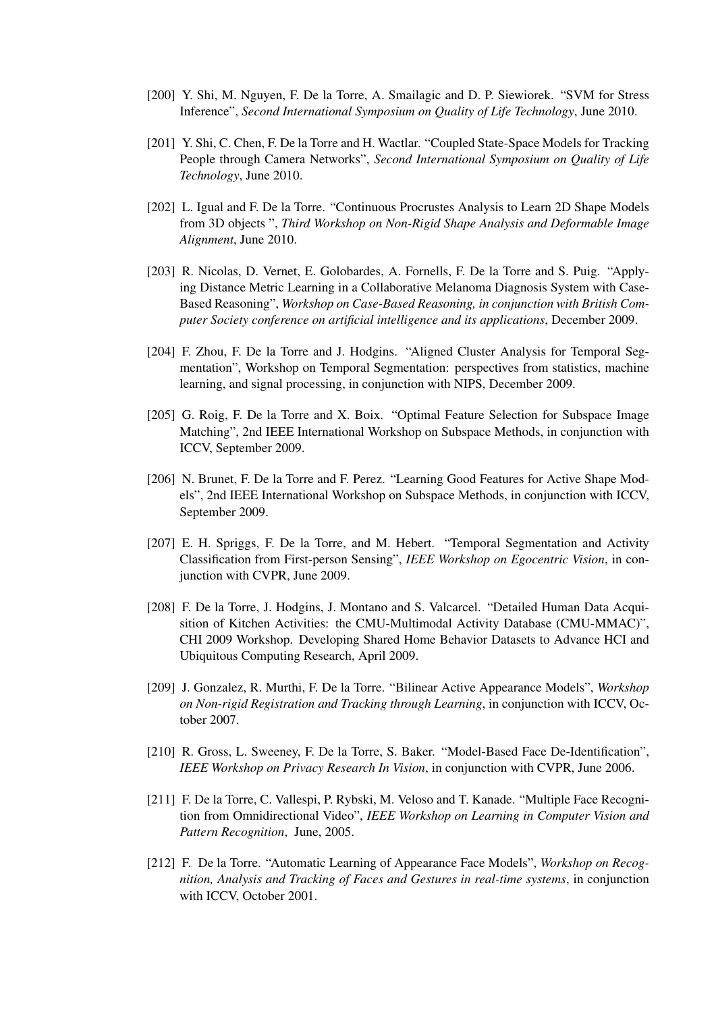- [200] Y. Shi, M. Nguyen, F. De la Torre, A. Smailagic and D. P. Siewiorek. "SVM for Stress Inference", *Second International Symposium on Quality of Life Technology*, June 2010.
- [201] Y. Shi, C. Chen, F. De la Torre and H. Wactlar. "Coupled State-Space Models for Tracking People through Camera Networks", *Second International Symposium on Quality of Life Technology*, June 2010.
- [202] L. Igual and F. De la Torre. "Continuous Procrustes Analysis to Learn 2D Shape Models from 3D objects ", *Third Workshop on Non-Rigid Shape Analysis and Deformable Image Alignment*, June 2010.
- [203] R. Nicolas, D. Vernet, E. Golobardes, A. Fornells, F. De la Torre and S. Puig. "Applying Distance Metric Learning in a Collaborative Melanoma Diagnosis System with Case-Based Reasoning", *Workshop on Case-Based Reasoning, in conjunction with British Computer Society conference on artificial intelligence and its applications*, December 2009.
- [204] F. Zhou, F. De la Torre and J. Hodgins. "Aligned Cluster Analysis for Temporal Segmentation", Workshop on Temporal Segmentation: perspectives from statistics, machine learning, and signal processing, in conjunction with NIPS, December 2009.
- [205] G. Roig, F. De la Torre and X. Boix. "Optimal Feature Selection for Subspace Image Matching", 2nd IEEE International Workshop on Subspace Methods, in conjunction with ICCV, September 2009.
- [206] N. Brunet, F. De la Torre and F. Perez. "Learning Good Features for Active Shape Models", 2nd IEEE International Workshop on Subspace Methods, in conjunction with ICCV, September 2009.
- [207] E. H. Spriggs, F. De la Torre, and M. Hebert. "Temporal Segmentation and Activity Classification from First-person Sensing", *IEEE Workshop on Egocentric Vision*, in conjunction with CVPR, June 2009.
- [208] F. De la Torre, J. Hodgins, J. Montano and S. Valcarcel. "Detailed Human Data Acquisition of Kitchen Activities: the CMU-Multimodal Activity Database (CMU-MMAC)", CHI 2009 Workshop. Developing Shared Home Behavior Datasets to Advance HCI and Ubiquitous Computing Research, April 2009.
- [209] J. Gonzalez, R. Murthi, F. De la Torre. "Bilinear Active Appearance Models", *Workshop on Non-rigid Registration and Tracking through Learning*, in conjunction with ICCV, October 2007.
- [210] R. Gross, L. Sweeney, F. De la Torre, S. Baker. "Model-Based Face De-Identification", *IEEE Workshop on Privacy Research In Vision*, in conjunction with CVPR, June 2006.
- [211] F. De la Torre, C. Vallespi, P. Rybski, M. Veloso and T. Kanade. "Multiple Face Recognition from Omnidirectional Video", *IEEE Workshop on Learning in Computer Vision and Pattern Recognition*, June, 2005.
- [212] F. De la Torre. "Automatic Learning of Appearance Face Models", *Workshop on Recognition, Analysis and Tracking of Faces and Gestures in real-time systems*, in conjunction with ICCV, October 2001.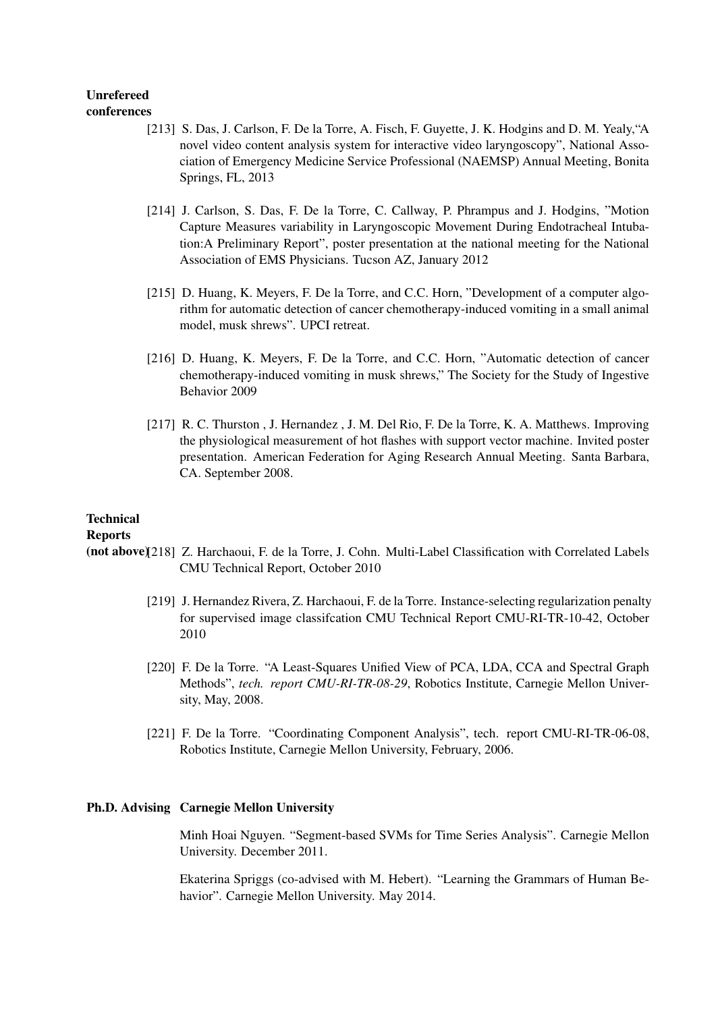#### Unrefereed conferences

- [213] S. Das, J. Carlson, F. De la Torre, A. Fisch, F. Guyette, J. K. Hodgins and D. M. Yealy,"A novel video content analysis system for interactive video laryngoscopy", National Association of Emergency Medicine Service Professional (NAEMSP) Annual Meeting, Bonita Springs, FL, 2013
- [214] J. Carlson, S. Das, F. De la Torre, C. Callway, P. Phrampus and J. Hodgins, "Motion Capture Measures variability in Laryngoscopic Movement During Endotracheal Intubation:A Preliminary Report", poster presentation at the national meeting for the National Association of EMS Physicians. Tucson AZ, January 2012
- [215] D. Huang, K. Meyers, F. De la Torre, and C.C. Horn, "Development of a computer algorithm for automatic detection of cancer chemotherapy-induced vomiting in a small animal model, musk shrews". UPCI retreat.
- [216] D. Huang, K. Meyers, F. De la Torre, and C.C. Horn, "Automatic detection of cancer chemotherapy-induced vomiting in musk shrews," The Society for the Study of Ingestive Behavior 2009
- [217] R. C. Thurston, J. Hernandez, J. M. Del Rio, F. De la Torre, K. A. Matthews. Improving the physiological measurement of hot flashes with support vector machine. Invited poster presentation. American Federation for Aging Research Annual Meeting. Santa Barbara, CA. September 2008.

# **Technical**

Reports

- (not above)[218] Z. Harchaoui, F. de la Torre, J. Cohn. Multi-Label Classification with Correlated Labels CMU Technical Report, October 2010
	- [219] J. Hernandez Rivera, Z. Harchaoui, F. de la Torre. Instance-selecting regularization penalty for supervised image classifcation CMU Technical Report CMU-RI-TR-10-42, October 2010
	- [220] F. De la Torre. "A Least-Squares Unified View of PCA, LDA, CCA and Spectral Graph Methods", *tech. report CMU-RI-TR-08-29*, Robotics Institute, Carnegie Mellon University, May, 2008.
	- [221] F. De la Torre. "Coordinating Component Analysis", tech. report CMU-RI-TR-06-08, Robotics Institute, Carnegie Mellon University, February, 2006.

# Ph.D. Advising Carnegie Mellon University

Minh Hoai Nguyen. "Segment-based SVMs for Time Series Analysis". Carnegie Mellon University. December 2011.

Ekaterina Spriggs (co-advised with M. Hebert). "Learning the Grammars of Human Behavior". Carnegie Mellon University. May 2014.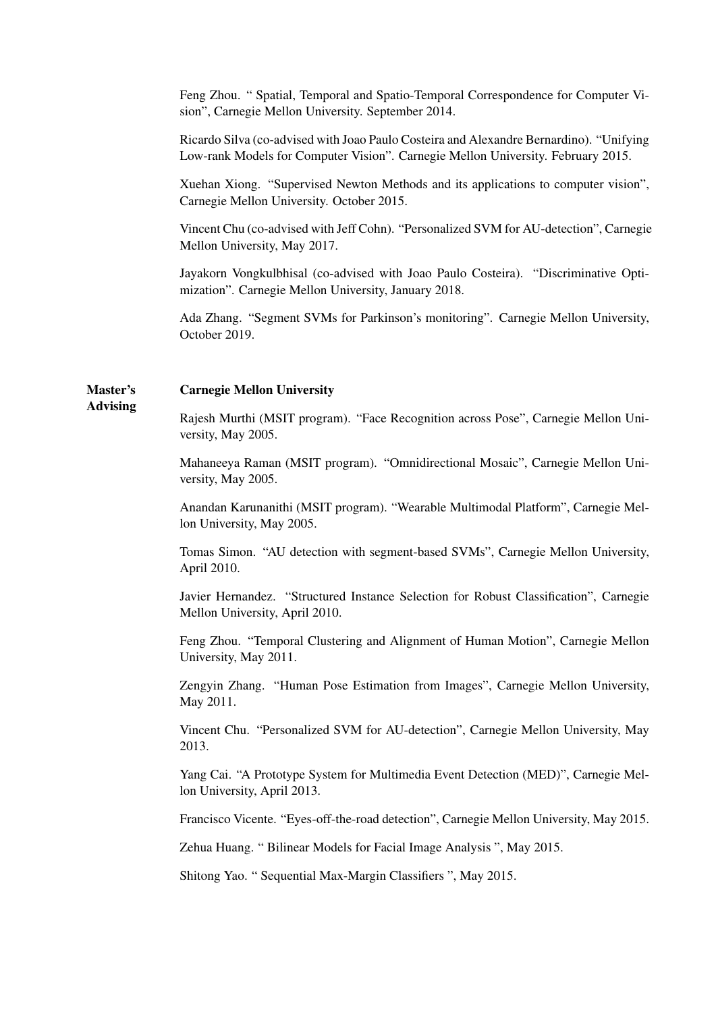Feng Zhou. " Spatial, Temporal and Spatio-Temporal Correspondence for Computer Vision", Carnegie Mellon University. September 2014.

Ricardo Silva (co-advised with Joao Paulo Costeira and Alexandre Bernardino). "Unifying Low-rank Models for Computer Vision". Carnegie Mellon University. February 2015.

Xuehan Xiong. "Supervised Newton Methods and its applications to computer vision", Carnegie Mellon University. October 2015.

Vincent Chu (co-advised with Jeff Cohn). "Personalized SVM for AU-detection", Carnegie Mellon University, May 2017.

Jayakorn Vongkulbhisal (co-advised with Joao Paulo Costeira). "Discriminative Optimization". Carnegie Mellon University, January 2018.

Ada Zhang. "Segment SVMs for Parkinson's monitoring". Carnegie Mellon University, October 2019.

#### Master's Carnegie Mellon University

Advising

Rajesh Murthi (MSIT program). "Face Recognition across Pose", Carnegie Mellon University, May 2005.

Mahaneeya Raman (MSIT program). "Omnidirectional Mosaic", Carnegie Mellon University, May 2005.

Anandan Karunanithi (MSIT program). "Wearable Multimodal Platform", Carnegie Mellon University, May 2005.

Tomas Simon. "AU detection with segment-based SVMs", Carnegie Mellon University, April 2010.

Javier Hernandez. "Structured Instance Selection for Robust Classification", Carnegie Mellon University, April 2010.

Feng Zhou. "Temporal Clustering and Alignment of Human Motion", Carnegie Mellon University, May 2011.

Zengyin Zhang. "Human Pose Estimation from Images", Carnegie Mellon University, May 2011.

Vincent Chu. "Personalized SVM for AU-detection", Carnegie Mellon University, May 2013.

Yang Cai. "A Prototype System for Multimedia Event Detection (MED)", Carnegie Mellon University, April 2013.

Francisco Vicente. "Eyes-off-the-road detection", Carnegie Mellon University, May 2015.

Zehua Huang. " Bilinear Models for Facial Image Analysis ", May 2015.

Shitong Yao. " Sequential Max-Margin Classifiers ", May 2015.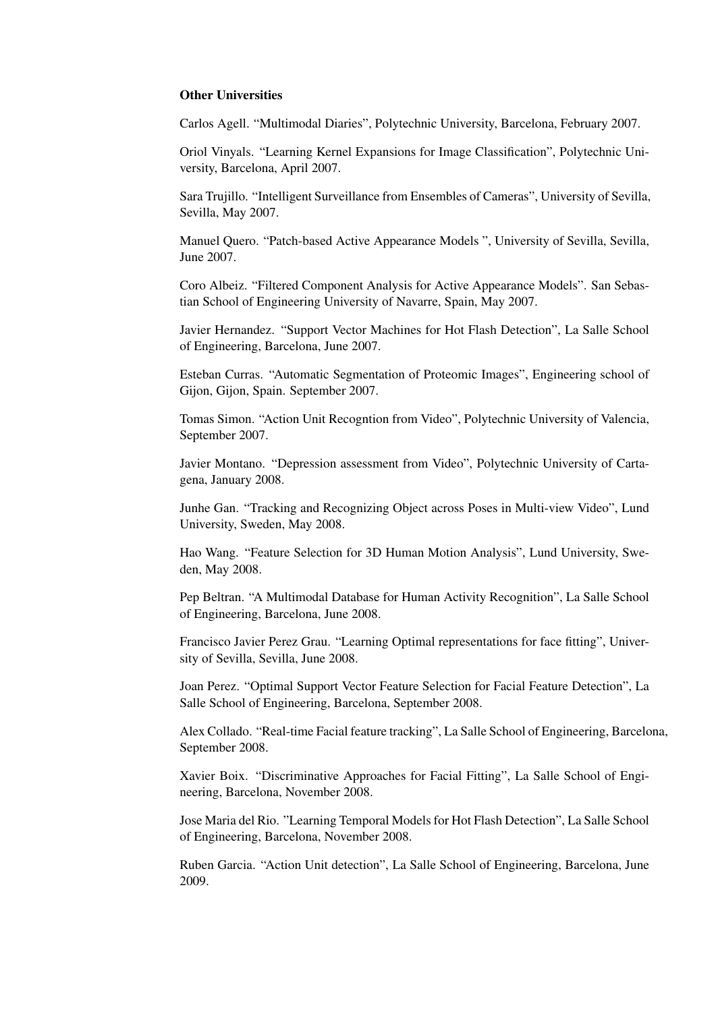#### Other Universities

Carlos Agell. "Multimodal Diaries", Polytechnic University, Barcelona, February 2007.

Oriol Vinyals. "Learning Kernel Expansions for Image Classification", Polytechnic University, Barcelona, April 2007.

Sara Trujillo. "Intelligent Surveillance from Ensembles of Cameras", University of Sevilla, Sevilla, May 2007.

Manuel Quero. "Patch-based Active Appearance Models ", University of Sevilla, Sevilla, June 2007.

Coro Albeiz. "Filtered Component Analysis for Active Appearance Models". San Sebastian School of Engineering University of Navarre, Spain, May 2007.

Javier Hernandez. "Support Vector Machines for Hot Flash Detection", La Salle School of Engineering, Barcelona, June 2007.

Esteban Curras. "Automatic Segmentation of Proteomic Images", Engineering school of Gijon, Gijon, Spain. September 2007.

Tomas Simon. "Action Unit Recogntion from Video", Polytechnic University of Valencia, September 2007.

Javier Montano. "Depression assessment from Video", Polytechnic University of Cartagena, January 2008.

Junhe Gan. "Tracking and Recognizing Object across Poses in Multi-view Video", Lund University, Sweden, May 2008.

Hao Wang. "Feature Selection for 3D Human Motion Analysis", Lund University, Sweden, May 2008.

Pep Beltran. "A Multimodal Database for Human Activity Recognition", La Salle School of Engineering, Barcelona, June 2008.

Francisco Javier Perez Grau. "Learning Optimal representations for face fitting", University of Sevilla, Sevilla, June 2008.

Joan Perez. "Optimal Support Vector Feature Selection for Facial Feature Detection", La Salle School of Engineering, Barcelona, September 2008.

Alex Collado. "Real-time Facial feature tracking", La Salle School of Engineering, Barcelona, September 2008.

Xavier Boix. "Discriminative Approaches for Facial Fitting", La Salle School of Engineering, Barcelona, November 2008.

Jose Maria del Rio. "Learning Temporal Models for Hot Flash Detection", La Salle School of Engineering, Barcelona, November 2008.

Ruben Garcia. "Action Unit detection", La Salle School of Engineering, Barcelona, June 2009.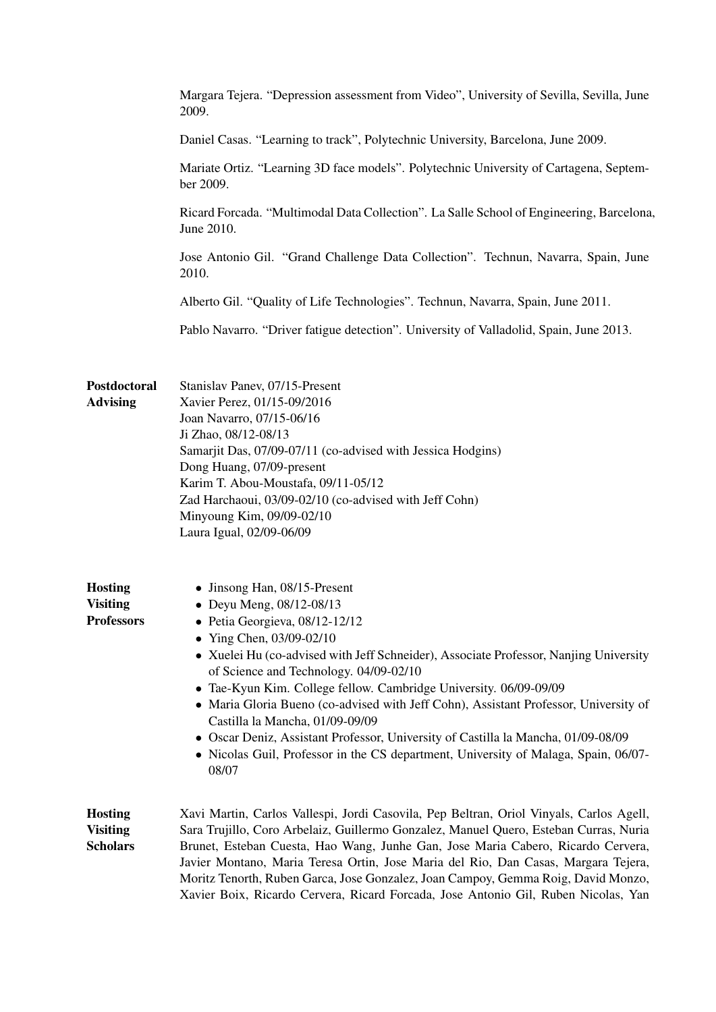|                                                        | Margara Tejera. "Depression assessment from Video", University of Sevilla, Sevilla, June<br>2009.                                                                                                                                                                                                                                                                                                                                                                                                                                                                                                                                              |  |
|--------------------------------------------------------|------------------------------------------------------------------------------------------------------------------------------------------------------------------------------------------------------------------------------------------------------------------------------------------------------------------------------------------------------------------------------------------------------------------------------------------------------------------------------------------------------------------------------------------------------------------------------------------------------------------------------------------------|--|
|                                                        | Daniel Casas. "Learning to track", Polytechnic University, Barcelona, June 2009.                                                                                                                                                                                                                                                                                                                                                                                                                                                                                                                                                               |  |
|                                                        | Mariate Ortiz. "Learning 3D face models". Polytechnic University of Cartagena, Septem-<br>ber 2009.                                                                                                                                                                                                                                                                                                                                                                                                                                                                                                                                            |  |
|                                                        | Ricard Forcada. "Multimodal Data Collection". La Salle School of Engineering, Barcelona,<br>June 2010.                                                                                                                                                                                                                                                                                                                                                                                                                                                                                                                                         |  |
|                                                        | Jose Antonio Gil. "Grand Challenge Data Collection". Technun, Navarra, Spain, June<br>2010.                                                                                                                                                                                                                                                                                                                                                                                                                                                                                                                                                    |  |
|                                                        | Alberto Gil. "Quality of Life Technologies". Technun, Navarra, Spain, June 2011.                                                                                                                                                                                                                                                                                                                                                                                                                                                                                                                                                               |  |
|                                                        | Pablo Navarro. "Driver fatigue detection". University of Valladolid, Spain, June 2013.                                                                                                                                                                                                                                                                                                                                                                                                                                                                                                                                                         |  |
| Postdoctoral<br><b>Advising</b>                        | Stanislav Panev, 07/15-Present<br>Xavier Perez, 01/15-09/2016<br>Joan Navarro, 07/15-06/16<br>Ji Zhao, 08/12-08/13<br>Samarjit Das, 07/09-07/11 (co-advised with Jessica Hodgins)<br>Dong Huang, 07/09-present<br>Karim T. Abou-Moustafa, 09/11-05/12<br>Zad Harchaoui, 03/09-02/10 (co-advised with Jeff Cohn)<br>Minyoung Kim, 09/09-02/10<br>Laura Igual, 02/09-06/09                                                                                                                                                                                                                                                                       |  |
| <b>Hosting</b><br><b>Visiting</b><br><b>Professors</b> | • Jinsong Han, 08/15-Present<br>• Deyu Meng, 08/12-08/13<br>· Petia Georgieva, 08/12-12/12<br>• Ying Chen, 03/09-02/10<br>• Xuelei Hu (co-advised with Jeff Schneider), Associate Professor, Nanjing University<br>of Science and Technology. 04/09-02/10<br>• Tae-Kyun Kim. College fellow. Cambridge University. 06/09-09/09<br>• Maria Gloria Bueno (co-advised with Jeff Cohn), Assistant Professor, University of<br>Castilla la Mancha, 01/09-09/09<br>• Oscar Deniz, Assistant Professor, University of Castilla la Mancha, 01/09-08/09<br>• Nicolas Guil, Professor in the CS department, University of Malaga, Spain, 06/07-<br>08/07 |  |
| <b>Hosting</b><br><b>Visiting</b><br><b>Scholars</b>   | Xavi Martin, Carlos Vallespi, Jordi Casovila, Pep Beltran, Oriol Vinyals, Carlos Agell,<br>Sara Trujillo, Coro Arbelaiz, Guillermo Gonzalez, Manuel Quero, Esteban Curras, Nuria<br>Brunet, Esteban Cuesta, Hao Wang, Junhe Gan, Jose Maria Cabero, Ricardo Cervera,<br>Javier Montano, Maria Teresa Ortin, Jose Maria del Rio, Dan Casas, Margara Tejera,<br>Moritz Tenorth, Ruben Garca, Jose Gonzalez, Joan Campoy, Gemma Roig, David Monzo,<br>Xavier Boix, Ricardo Cervera, Ricard Forcada, Jose Antonio Gil, Ruben Nicolas, Yan                                                                                                          |  |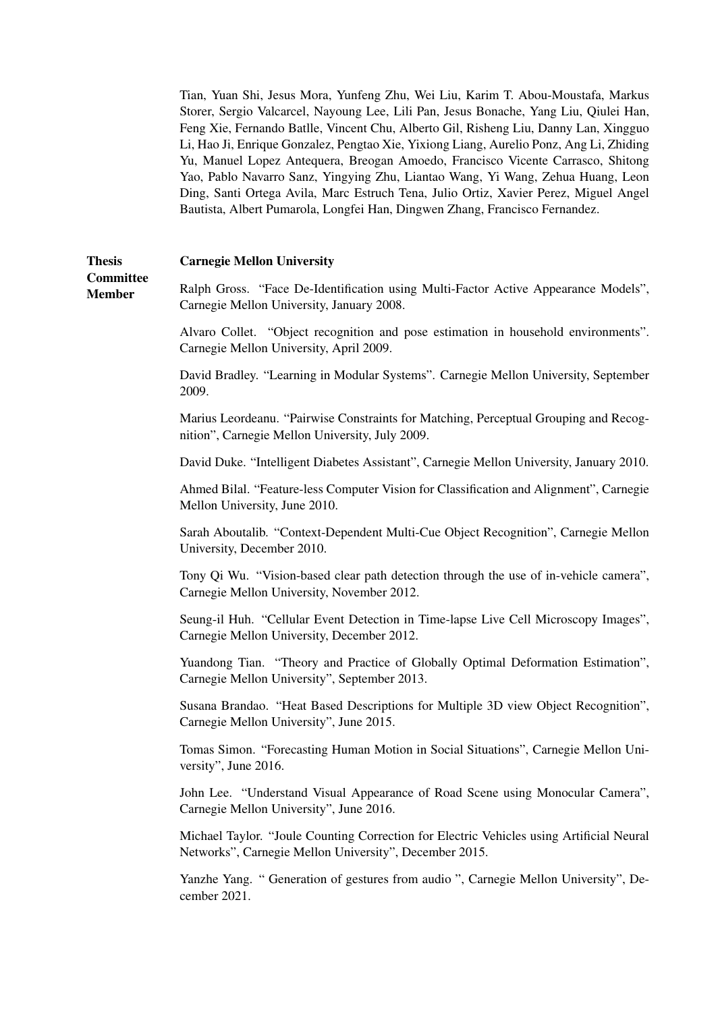Tian, Yuan Shi, Jesus Mora, Yunfeng Zhu, Wei Liu, Karim T. Abou-Moustafa, Markus Storer, Sergio Valcarcel, Nayoung Lee, Lili Pan, Jesus Bonache, Yang Liu, Qiulei Han, Feng Xie, Fernando Batlle, Vincent Chu, Alberto Gil, Risheng Liu, Danny Lan, Xingguo Li, Hao Ji, Enrique Gonzalez, Pengtao Xie, Yixiong Liang, Aurelio Ponz, Ang Li, Zhiding Yu, Manuel Lopez Antequera, Breogan Amoedo, Francisco Vicente Carrasco, Shitong Yao, Pablo Navarro Sanz, Yingying Zhu, Liantao Wang, Yi Wang, Zehua Huang, Leon Ding, Santi Ortega Avila, Marc Estruch Tena, Julio Ortiz, Xavier Perez, Miguel Angel Bautista, Albert Pumarola, Longfei Han, Dingwen Zhang, Francisco Fernandez.

#### **Thesis** Carnegie Mellon University

**Committee** Member

Ralph Gross. "Face De-Identification using Multi-Factor Active Appearance Models", Carnegie Mellon University, January 2008.

Alvaro Collet. "Object recognition and pose estimation in household environments". Carnegie Mellon University, April 2009.

David Bradley. "Learning in Modular Systems". Carnegie Mellon University, September 2009.

Marius Leordeanu. "Pairwise Constraints for Matching, Perceptual Grouping and Recognition", Carnegie Mellon University, July 2009.

David Duke. "Intelligent Diabetes Assistant", Carnegie Mellon University, January 2010.

Ahmed Bilal. "Feature-less Computer Vision for Classification and Alignment", Carnegie Mellon University, June 2010.

Sarah Aboutalib. "Context-Dependent Multi-Cue Object Recognition", Carnegie Mellon University, December 2010.

Tony Qi Wu. "Vision-based clear path detection through the use of in-vehicle camera", Carnegie Mellon University, November 2012.

Seung-il Huh. "Cellular Event Detection in Time-lapse Live Cell Microscopy Images", Carnegie Mellon University, December 2012.

Yuandong Tian. "Theory and Practice of Globally Optimal Deformation Estimation", Carnegie Mellon University", September 2013.

Susana Brandao. "Heat Based Descriptions for Multiple 3D view Object Recognition", Carnegie Mellon University", June 2015.

Tomas Simon. "Forecasting Human Motion in Social Situations", Carnegie Mellon University", June 2016.

John Lee. "Understand Visual Appearance of Road Scene using Monocular Camera", Carnegie Mellon University", June 2016.

Michael Taylor. "Joule Counting Correction for Electric Vehicles using Artificial Neural Networks", Carnegie Mellon University", December 2015.

Yanzhe Yang. " Generation of gestures from audio ", Carnegie Mellon University", December 2021.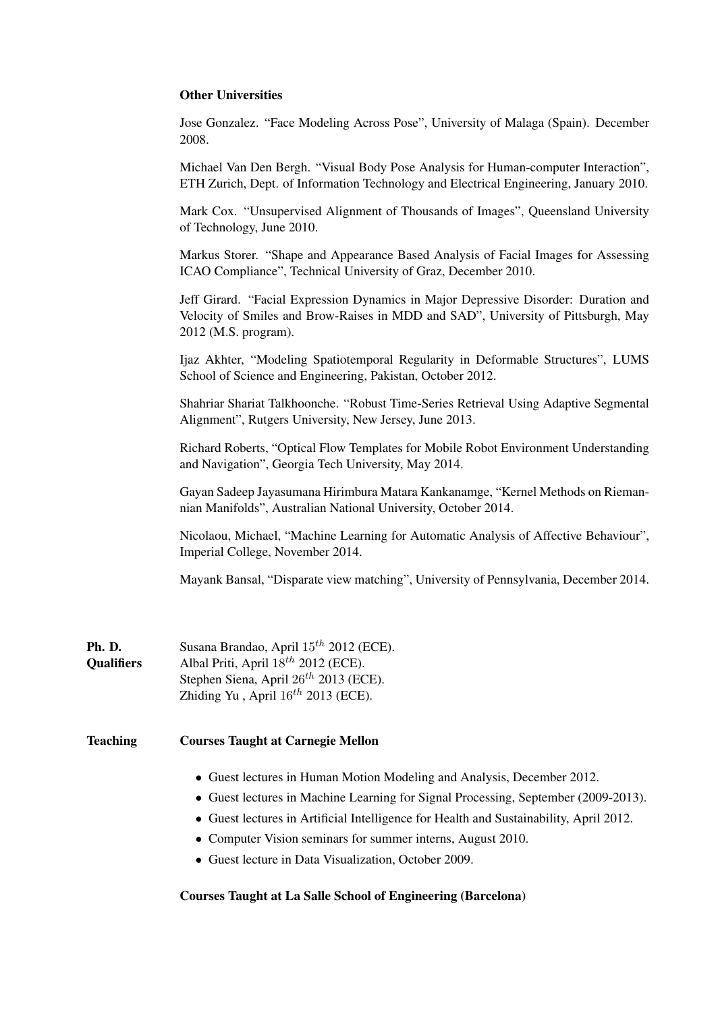### Other Universities

Jose Gonzalez. "Face Modeling Across Pose", University of Malaga (Spain). December 2008.

Michael Van Den Bergh. "Visual Body Pose Analysis for Human-computer Interaction", ETH Zurich, Dept. of Information Technology and Electrical Engineering, January 2010.

Mark Cox. "Unsupervised Alignment of Thousands of Images", Queensland University of Technology, June 2010.

Markus Storer. "Shape and Appearance Based Analysis of Facial Images for Assessing ICAO Compliance", Technical University of Graz, December 2010.

Jeff Girard. "Facial Expression Dynamics in Major Depressive Disorder: Duration and Velocity of Smiles and Brow-Raises in MDD and SAD", University of Pittsburgh, May 2012 (M.S. program).

Ijaz Akhter, "Modeling Spatiotemporal Regularity in Deformable Structures", LUMS School of Science and Engineering, Pakistan, October 2012.

Shahriar Shariat Talkhoonche. "Robust Time-Series Retrieval Using Adaptive Segmental Alignment", Rutgers University, New Jersey, June 2013.

Richard Roberts, "Optical Flow Templates for Mobile Robot Environment Understanding and Navigation", Georgia Tech University, May 2014.

Gayan Sadeep Jayasumana Hirimbura Matara Kankanamge, "Kernel Methods on Riemannian Manifolds", Australian National University, October 2014.

Nicolaou, Michael, "Machine Learning for Automatic Analysis of Affective Behaviour", Imperial College, November 2014.

Mayank Bansal, "Disparate view matching", University of Pennsylvania, December 2014.

| Ph. D.            | Susana Brandao, April $15^{th}$ 2012 (ECE).       |
|-------------------|---------------------------------------------------|
| <b>Oualifiers</b> | Albal Priti, April $18^{th}$ 2012 (ECE).          |
|                   | Stephen Siena, April 26 <sup>th</sup> 2013 (ECE). |
|                   | Zhiding Yu, April $16^{th}$ 2013 (ECE).           |

### Teaching Courses Taught at Carnegie Mellon

- Guest lectures in Human Motion Modeling and Analysis, December 2012.
- Guest lectures in Machine Learning for Signal Processing, September (2009-2013).
- Guest lectures in Artificial Intelligence for Health and Sustainability, April 2012.
- Computer Vision seminars for summer interns, August 2010.
- Guest lecture in Data Visualization, October 2009.

#### Courses Taught at La Salle School of Engineering (Barcelona)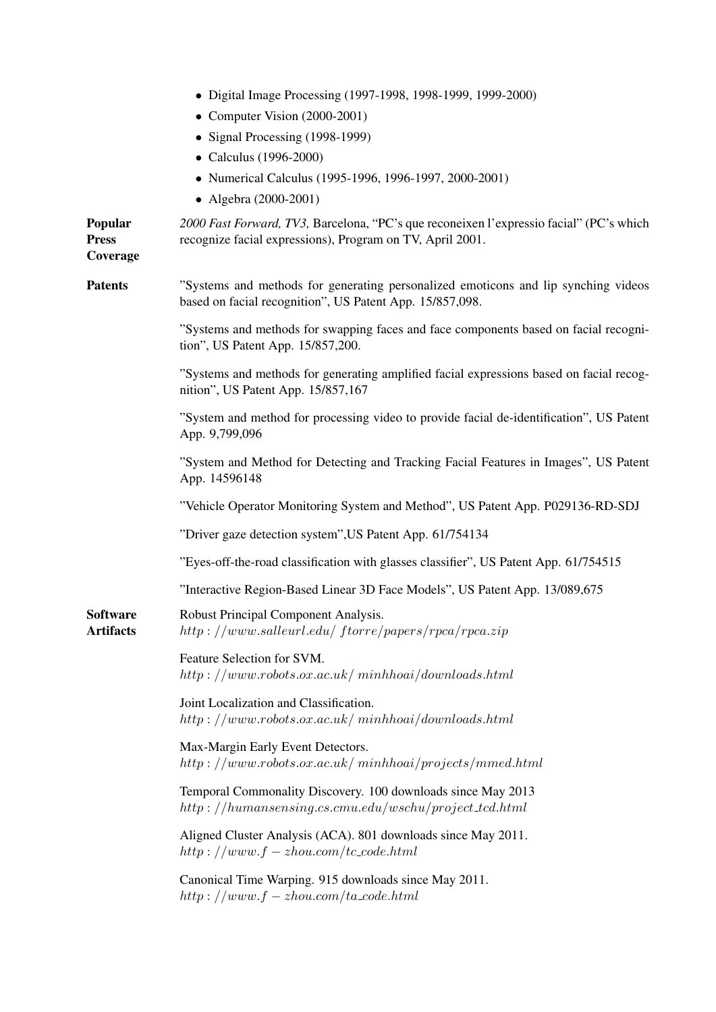|                                     | • Digital Image Processing (1997-1998, 1998-1999, 1999-2000)                                                                                         |  |
|-------------------------------------|------------------------------------------------------------------------------------------------------------------------------------------------------|--|
|                                     | • Computer Vision (2000-2001)                                                                                                                        |  |
|                                     | • Signal Processing (1998-1999)                                                                                                                      |  |
|                                     | • Calculus (1996-2000)                                                                                                                               |  |
|                                     | • Numerical Calculus (1995-1996, 1996-1997, 2000-2001)                                                                                               |  |
|                                     | • Algebra (2000-2001)                                                                                                                                |  |
| Popular<br><b>Press</b><br>Coverage | 2000 Fast Forward, TV3, Barcelona, "PC's que reconeixen l'expressio facial" (PC's which<br>recognize facial expressions), Program on TV, April 2001. |  |
| <b>Patents</b>                      | "Systems and methods for generating personalized emoticons and lip synching videos"<br>based on facial recognition", US Patent App. 15/857,098.      |  |
|                                     | "Systems and methods for swapping faces and face components based on facial recogni-<br>tion", US Patent App. 15/857,200.                            |  |
|                                     | "Systems and methods for generating amplified facial expressions based on facial recog-<br>nition", US Patent App. 15/857,167                        |  |
|                                     | "System and method for processing video to provide facial de-identification", US Patent<br>App. 9,799,096                                            |  |
|                                     | "System and Method for Detecting and Tracking Facial Features in Images", US Patent<br>App. 14596148                                                 |  |
|                                     | "Vehicle Operator Monitoring System and Method", US Patent App. P029136-RD-SDJ                                                                       |  |
|                                     | "Driver gaze detection system", US Patent App. 61/754134                                                                                             |  |
|                                     | "Eyes-off-the-road classification with glasses classifier", US Patent App. 61/754515                                                                 |  |
|                                     | "Interactive Region-Based Linear 3D Face Models", US Patent App. 13/089,675                                                                          |  |
| <b>Software</b><br><b>Artifacts</b> | Robust Principal Component Analysis.<br>$http://www.sallowl.edu/ftorre/papers/rpca/rpca.zip$                                                         |  |
|                                     | Feature Selection for SVM.<br>$http://www.robots.ox.ac.uk/minh.oid/downloads.html$                                                                   |  |
|                                     | Joint Localization and Classification.<br>$http://www.robots.ox.ac.uk/minhhoai/downloads.html$                                                       |  |
|                                     | Max-Margin Early Event Detectors.<br>$http://www.robots.ox.ac.uk/minh.oj/projects/mmed.html$                                                         |  |
|                                     | Temporal Commonality Discovery. 100 downloads since May 2013<br>$http://human sensing.cs.cmu.edu/wschu/projects.tcd.html$                            |  |
|                                     | Aligned Cluster Analysis (ACA). 801 downloads since May 2011.<br>$http://www.f-zhou.com/tc_code.html$                                                |  |
|                                     | Canonical Time Warping. 915 downloads since May 2011.<br>$http://www.f-zhou.com/ta\_code.html$                                                       |  |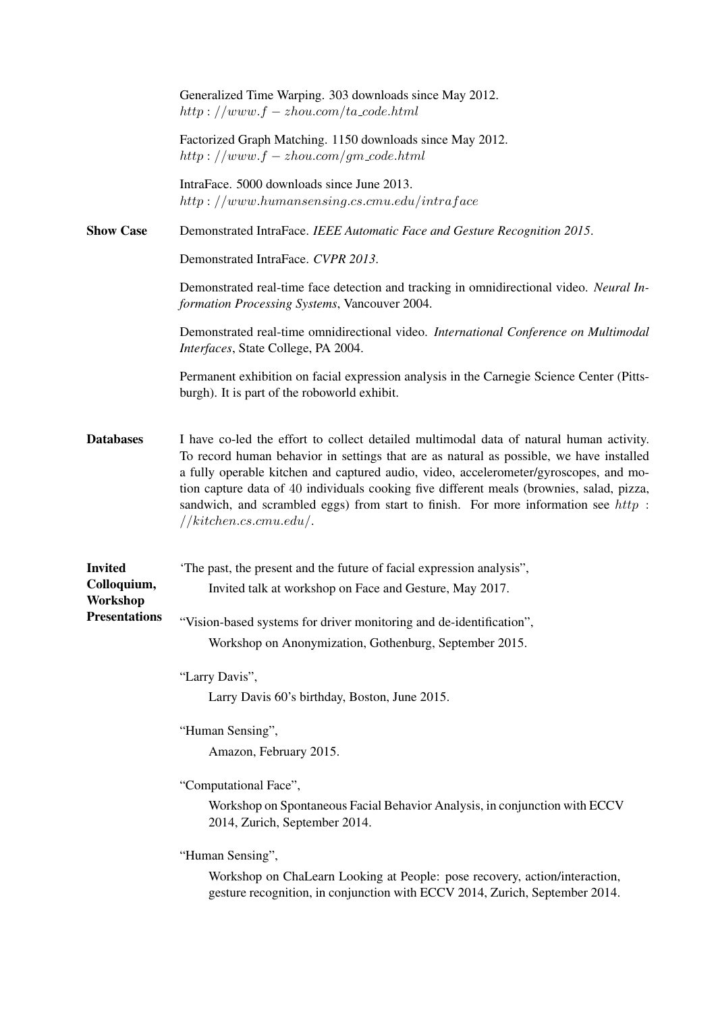|                                                                   | Generalized Time Warping. 303 downloads since May 2012.<br>$http://www.f-zhou.com/ta\_code.html$                                                                                                                                                                                                                                                                                                                                                                                             |
|-------------------------------------------------------------------|----------------------------------------------------------------------------------------------------------------------------------------------------------------------------------------------------------------------------------------------------------------------------------------------------------------------------------------------------------------------------------------------------------------------------------------------------------------------------------------------|
|                                                                   | Factorized Graph Matching. 1150 downloads since May 2012.<br>$http://www.f-zhou.com/gm\_code.html$                                                                                                                                                                                                                                                                                                                                                                                           |
|                                                                   | IntraFace. 5000 downloads since June 2013.<br>$http://www.human sensing.cs.cmu.edu/intraface$                                                                                                                                                                                                                                                                                                                                                                                                |
| <b>Show Case</b>                                                  | Demonstrated IntraFace. IEEE Automatic Face and Gesture Recognition 2015.                                                                                                                                                                                                                                                                                                                                                                                                                    |
|                                                                   | Demonstrated IntraFace. CVPR 2013.                                                                                                                                                                                                                                                                                                                                                                                                                                                           |
|                                                                   | Demonstrated real-time face detection and tracking in omnidirectional video. Neural In-<br>formation Processing Systems, Vancouver 2004.                                                                                                                                                                                                                                                                                                                                                     |
|                                                                   | Demonstrated real-time omnidirectional video. International Conference on Multimodal<br>Interfaces, State College, PA 2004.                                                                                                                                                                                                                                                                                                                                                                  |
|                                                                   | Permanent exhibition on facial expression analysis in the Carnegie Science Center (Pitts-<br>burgh). It is part of the roboworld exhibit.                                                                                                                                                                                                                                                                                                                                                    |
| <b>Databases</b>                                                  | I have co-led the effort to collect detailed multimodal data of natural human activity.<br>To record human behavior in settings that are as natural as possible, we have installed<br>a fully operable kitchen and captured audio, video, accelerometer/gyroscopes, and mo-<br>tion capture data of 40 individuals cooking five different meals (brownies, salad, pizza,<br>sandwich, and scrambled eggs) from start to finish. For more information see $http$ :<br>//kitchen.cs. cmu.edu/. |
| <b>Invited</b><br>Colloquium,<br>Workshop<br><b>Presentations</b> | The past, the present and the future of facial expression analysis",<br>Invited talk at workshop on Face and Gesture, May 2017.<br>"Vision-based systems for driver monitoring and de-identification",<br>Workshop on Anonymization, Gothenburg, September 2015.                                                                                                                                                                                                                             |
|                                                                   |                                                                                                                                                                                                                                                                                                                                                                                                                                                                                              |
|                                                                   | "Larry Davis",<br>Larry Davis 60's birthday, Boston, June 2015.                                                                                                                                                                                                                                                                                                                                                                                                                              |
|                                                                   | "Human Sensing",<br>Amazon, February 2015.                                                                                                                                                                                                                                                                                                                                                                                                                                                   |
|                                                                   | "Computational Face",<br>Workshop on Spontaneous Facial Behavior Analysis, in conjunction with ECCV<br>2014, Zurich, September 2014.                                                                                                                                                                                                                                                                                                                                                         |
|                                                                   | "Human Sensing",<br>Workshop on ChaLearn Looking at People: pose recovery, action/interaction,<br>gesture recognition, in conjunction with ECCV 2014, Zurich, September 2014.                                                                                                                                                                                                                                                                                                                |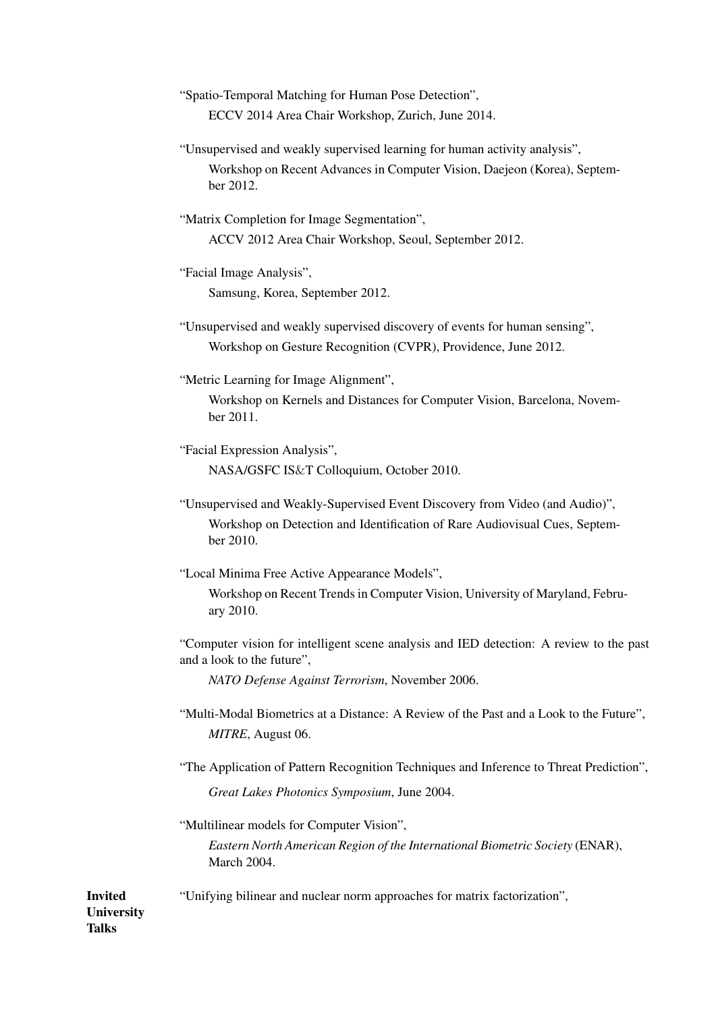| "Spatio-Temporal Matching for Human Pose Detection", |  |
|------------------------------------------------------|--|
| ECCV 2014 Area Chair Workshop, Zurich, June 2014.    |  |

- "Unsupervised and weakly supervised learning for human activity analysis", Workshop on Recent Advances in Computer Vision, Daejeon (Korea), September 2012.
- "Matrix Completion for Image Segmentation", ACCV 2012 Area Chair Workshop, Seoul, September 2012.

"Facial Image Analysis",

Samsung, Korea, September 2012.

"Unsupervised and weakly supervised discovery of events for human sensing", Workshop on Gesture Recognition (CVPR), Providence, June 2012.

"Metric Learning for Image Alignment",

Workshop on Kernels and Distances for Computer Vision, Barcelona, November 2011.

"Facial Expression Analysis", NASA/GSFC IS&T Colloquium, October 2010.

"Unsupervised and Weakly-Supervised Event Discovery from Video (and Audio)", Workshop on Detection and Identification of Rare Audiovisual Cues, September 2010.

"Local Minima Free Active Appearance Models",

Workshop on Recent Trends in Computer Vision, University of Maryland, February 2010.

"Computer vision for intelligent scene analysis and IED detection: A review to the past and a look to the future",

*NATO Defense Against Terrorism*, November 2006.

"Multi-Modal Biometrics at a Distance: A Review of the Past and a Look to the Future", *MITRE*, August 06.

"The Application of Pattern Recognition Techniques and Inference to Threat Prediction", *Great Lakes Photonics Symposium*, June 2004.

"Multilinear models for Computer Vision",

*Eastern North American Region of the International Biometric Society* (ENAR), March 2004.

"Unifying bilinear and nuclear norm approaches for matrix factorization",

Invited **University** Talks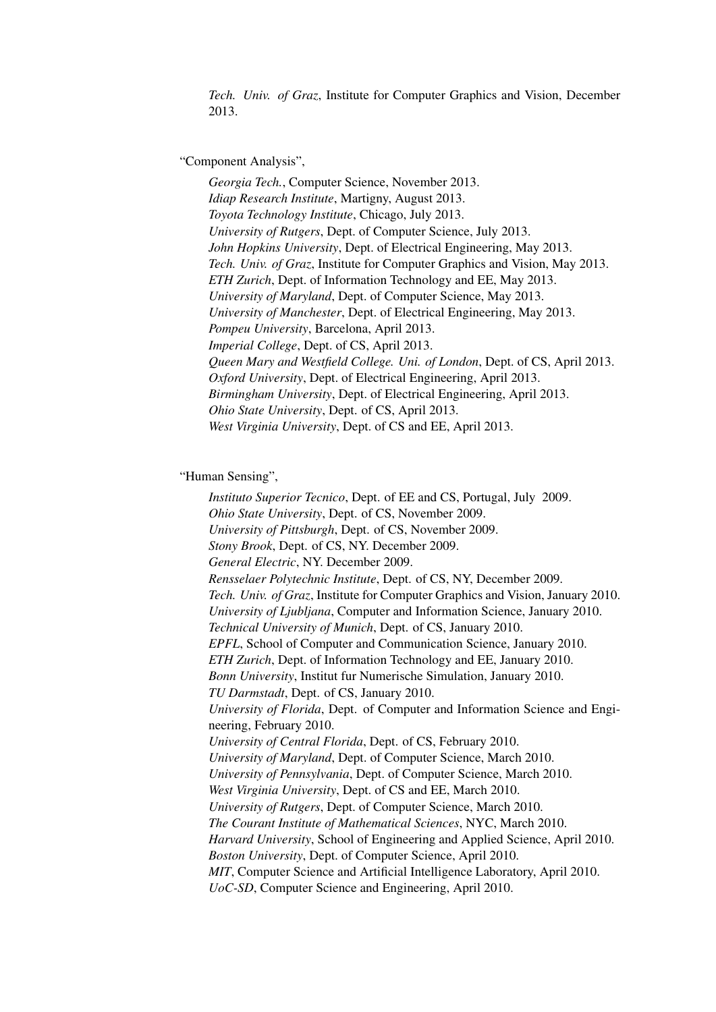*Tech. Univ. of Graz*, Institute for Computer Graphics and Vision, December 2013.

"Component Analysis",

*Georgia Tech.*, Computer Science, November 2013. *Idiap Research Institute*, Martigny, August 2013. *Toyota Technology Institute*, Chicago, July 2013. *University of Rutgers*, Dept. of Computer Science, July 2013. *John Hopkins University*, Dept. of Electrical Engineering, May 2013. *Tech. Univ. of Graz*, Institute for Computer Graphics and Vision, May 2013. *ETH Zurich*, Dept. of Information Technology and EE, May 2013. *University of Maryland*, Dept. of Computer Science, May 2013. *University of Manchester*, Dept. of Electrical Engineering, May 2013. *Pompeu University*, Barcelona, April 2013. *Imperial College*, Dept. of CS, April 2013. *Queen Mary and Westfield College. Uni. of London*, Dept. of CS, April 2013. *Oxford University*, Dept. of Electrical Engineering, April 2013. *Birmingham University*, Dept. of Electrical Engineering, April 2013. *Ohio State University*, Dept. of CS, April 2013. *West Virginia University*, Dept. of CS and EE, April 2013.

#### "Human Sensing",

*Instituto Superior Tecnico*, Dept. of EE and CS, Portugal, July 2009. *Ohio State University*, Dept. of CS, November 2009. *University of Pittsburgh*, Dept. of CS, November 2009. *Stony Brook*, Dept. of CS, NY. December 2009. *General Electric*, NY. December 2009. *Rensselaer Polytechnic Institute*, Dept. of CS, NY, December 2009. *Tech. Univ. of Graz*, Institute for Computer Graphics and Vision, January 2010. *University of Ljubljana*, Computer and Information Science, January 2010. *Technical University of Munich*, Dept. of CS, January 2010. *EPFL*, School of Computer and Communication Science, January 2010. *ETH Zurich*, Dept. of Information Technology and EE, January 2010. *Bonn University*, Institut fur Numerische Simulation, January 2010. *TU Darmstadt*, Dept. of CS, January 2010. *University of Florida*, Dept. of Computer and Information Science and Engineering, February 2010. *University of Central Florida*, Dept. of CS, February 2010. *University of Maryland*, Dept. of Computer Science, March 2010. *University of Pennsylvania*, Dept. of Computer Science, March 2010. *West Virginia University*, Dept. of CS and EE, March 2010. *University of Rutgers*, Dept. of Computer Science, March 2010. *The Courant Institute of Mathematical Sciences*, NYC, March 2010. *Harvard University*, School of Engineering and Applied Science, April 2010. *Boston University*, Dept. of Computer Science, April 2010. *MIT*, Computer Science and Artificial Intelligence Laboratory, April 2010. *UoC-SD*, Computer Science and Engineering, April 2010.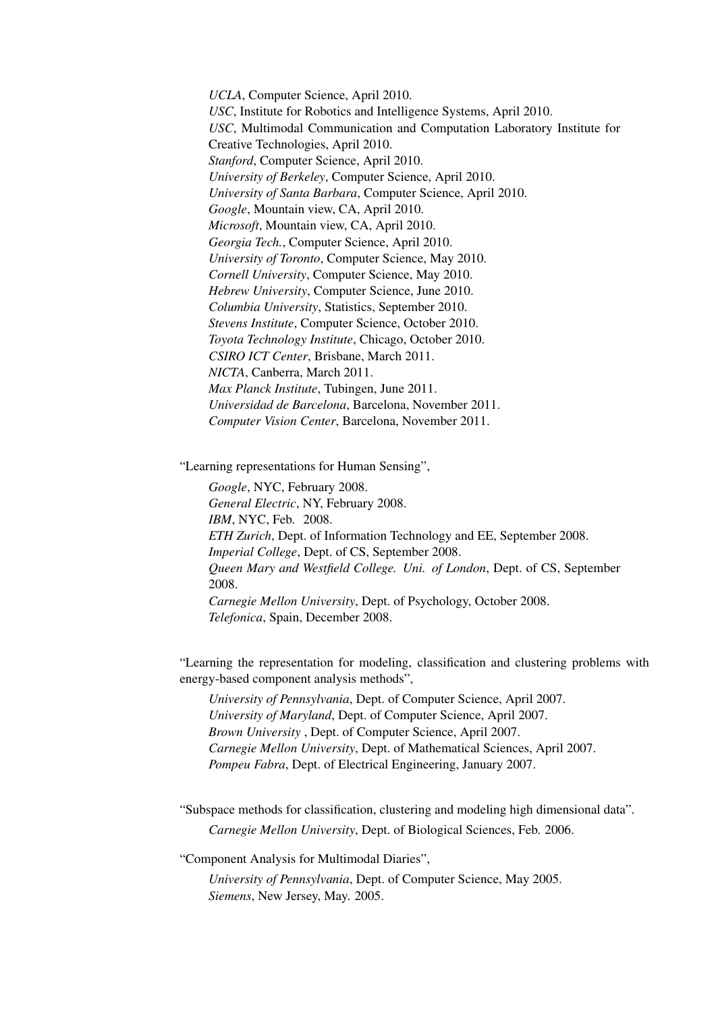*UCLA*, Computer Science, April 2010. *USC*, Institute for Robotics and Intelligence Systems, April 2010. *USC*, Multimodal Communication and Computation Laboratory Institute for Creative Technologies, April 2010. *Stanford*, Computer Science, April 2010. *University of Berkeley*, Computer Science, April 2010. *University of Santa Barbara*, Computer Science, April 2010. *Google*, Mountain view, CA, April 2010. *Microsoft*, Mountain view, CA, April 2010. *Georgia Tech.*, Computer Science, April 2010. *University of Toronto*, Computer Science, May 2010. *Cornell University*, Computer Science, May 2010. *Hebrew University*, Computer Science, June 2010. *Columbia University*, Statistics, September 2010. *Stevens Institute*, Computer Science, October 2010. *Toyota Technology Institute*, Chicago, October 2010. *CSIRO ICT Center*, Brisbane, March 2011. *NICTA*, Canberra, March 2011. *Max Planck Institute*, Tubingen, June 2011. *Universidad de Barcelona*, Barcelona, November 2011. *Computer Vision Center*, Barcelona, November 2011.

"Learning representations for Human Sensing",

*Google*, NYC, February 2008. *General Electric*, NY, February 2008. *IBM*, NYC, Feb. 2008. *ETH Zurich*, Dept. of Information Technology and EE, September 2008. *Imperial College*, Dept. of CS, September 2008. *Queen Mary and Westfield College. Uni. of London*, Dept. of CS, September 2008. *Carnegie Mellon University*, Dept. of Psychology, October 2008. *Telefonica*, Spain, December 2008.

"Learning the representation for modeling, classification and clustering problems with energy-based component analysis methods",

*University of Pennsylvania*, Dept. of Computer Science, April 2007. *University of Maryland*, Dept. of Computer Science, April 2007. *Brown University* , Dept. of Computer Science, April 2007. *Carnegie Mellon University*, Dept. of Mathematical Sciences, April 2007. *Pompeu Fabra*, Dept. of Electrical Engineering, January 2007.

"Subspace methods for classification, clustering and modeling high dimensional data". *Carnegie Mellon University*, Dept. of Biological Sciences, Feb. 2006.

"Component Analysis for Multimodal Diaries",

*University of Pennsylvania*, Dept. of Computer Science, May 2005. *Siemens*, New Jersey, May. 2005.